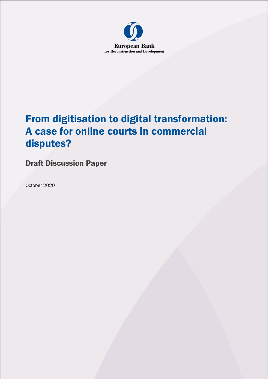

# From digitisation to digital transformation: A case for online courts in commercial disputes?

# Draft Discussion Paper

October 2020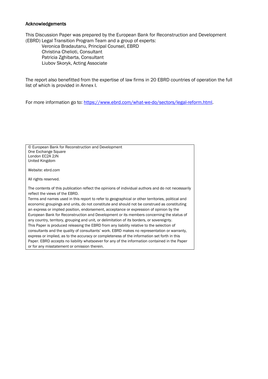#### Acknowledgements

This Discussion Paper was prepared by the European Bank for Reconstruction and Development (EBRD) Legal Transition Program Team and a group of experts:

Veronica Bradautanu, Principal Counsel, EBRD Christina Chelioti, Consultant Patricia Zghibarta, Consultant Liubov Skoryk, Acting Associate

The report also benefitted from the expertise of law firms in 20 EBRD countries of operation the full list of which is provided in Annex I.

For more information go to: [https://www.ebrd.com/what-we-do/sectors/legal-reform.html.](https://www.ebrd.com/what-we-do/sectors/legal-reform.html)

© European Bank for Reconstruction and Development One Exchange Square London EC2A 2JN United Kingdom

Website: ebrd.com

All rights reserved.

The contents of this publication reflect the opinions of individual authors and do not necessarily reflect the views of the EBRD.

Terms and names used in this report to refer to geographical or other territories, political and economic groupings and units, do not constitute and should not be construed as constituting an express or implied position, endorsement, acceptance or expression of opinion by the European Bank for Reconstruction and Development or its members concerning the status of any country, territory, grouping and unit, or delimitation of its borders, or sovereignty. This Paper is produced releasing the EBRD from any liability relative to the selection of consultants and the quality of consultants' work. EBRD makes no representation or warranty, express or implied, as to the accuracy or completeness of the information set forth in this Paper. EBRD accepts no liability whatsoever for any of the information contained in the Paper or for any misstatement or omission therein.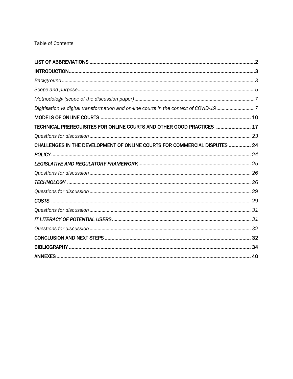# Table of Contents

| Digitisation vs digital transformation and on-line courts in the context of COVID-197 |  |
|---------------------------------------------------------------------------------------|--|
|                                                                                       |  |
| TECHNICAL PREREQUISITES FOR ONLINE COURTS AND OTHER GOOD PRACTICES  17                |  |
|                                                                                       |  |
| CHALLENGES IN THE DEVELOPMENT OF ONLINE COURTS FOR COMMERCIAL DISPUTES  24            |  |
|                                                                                       |  |
|                                                                                       |  |
|                                                                                       |  |
|                                                                                       |  |
|                                                                                       |  |
|                                                                                       |  |
|                                                                                       |  |
|                                                                                       |  |
|                                                                                       |  |
|                                                                                       |  |
|                                                                                       |  |
|                                                                                       |  |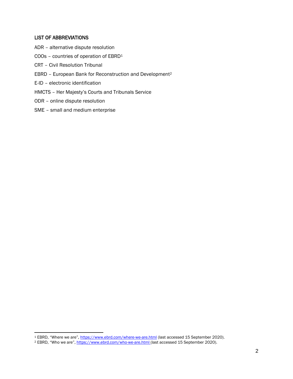#### <span id="page-3-0"></span>LIST OF ABBREVIATIONS

- ADR alternative dispute resolution
- COOs countries of operation of EBRD<sup>1</sup>
- CRT Civil Resolution Tribunal
- EBRD European Bank for Reconstruction and Development<sup>2</sup>
- E-ID electronic identification
- HMCTS Her Majesty's Courts and Tribunals Service
- ODR online dispute resolution
- SME small and medium enterprise

<sup>1</sup> EBRD, "Where we are", <https://www.ebrd.com/where-we-are.html> (last accessed 15 September 2020).

<sup>2</sup> EBRD, "Who we are", <https://www.ebrd.com/who-we-are.html> (last accessed 15 September 2020).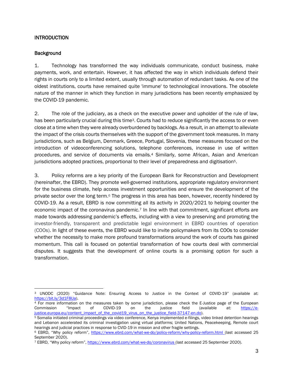# <span id="page-4-0"></span>**INTRODUCTION**

#### <span id="page-4-1"></span>**Background**

1. Technology has transformed the way individuals communicate, conduct business, make payments, work, and entertain. However, it has affected the way in which individuals defend their rights in courts only to a limited extent, usually through automation of redundant tasks. As one of the oldest institutions, courts have remained quite 'immune' to technological innovations. The obsolete nature of the manner in which they function in many jurisdictions has been recently emphasized by the COVID-19 pandemic.

2. The role of the judiciary, as a check on the executive power and upholder of the rule of law, has been particularly crucial during this time3. Courts had to reduce significantly the access to or even close at a time when they were already overburdened by backlogs. As a result, in an attempt to alleviate the impact of the crisis courts themselves with the support of the government took measures. In many jurisdictions, such as Belgium, Denmark, Greece, Portugal, Slovenia, these measures focused on the introduction of videoconferencing solutions, telephone conferences, increase in use of written procedures, and service of documents via emails.<sup>4</sup> Similarly, some African, Asian and American jurisdictions adopted practices, proportional to their level of preparedness and digitisation5.

3. Policy reforms are a key priority of the European Bank for Reconstruction and Development (hereinafter, the EBRD). They promote well-governed institutions, appropriate regulatory environment for the business climate, help access investment opportunities and ensure the development of the private sector over the long term.<sup>6</sup> The progress in this area has been, however, recently hindered by COVID-19. As a result, EBRD is now committing all its activity in 2020/2021 to helping counter the economic impact of the coronavirus pandemic.<sup>7</sup> In line with that commitment, significant efforts are made towards addressing pandemic's effects, including with a view to preserving and promoting the investor-friendly, transparent and predictable legal environment in EBRD countries of operation (COOs). In light of these events, the EBRD would like to invite policymakers from its COOs to consider whether the necessity to make more profound transformations around the work of courts has gained momentum. This call is focused on potential transformation of how courts deal with commercial disputes. It suggests that the development of online courts is a promising option for such a transformation.

<sup>3</sup> UNODC (2020) "Guidance Note: Ensuring Access to Justice in the Context of COVID-19" (available at: [https://bit.ly/3d1F8Ua\)](https://bit.ly/3d1F8Ua).

<sup>4</sup> For more information on the measures taken by some jurisdiction, please check the E-Justice page of the European Commission "Impact of COVID-19 on the justice field (available at: [https://e](https://e-justice.europa.eu/content_impact_of_the_covid19_virus_on_the_justice_field-37147-en.do)[justice.europa.eu/content\\_impact\\_of\\_the\\_covid19\\_virus\\_on\\_the\\_justice\\_field-37147-en.do\)](https://e-justice.europa.eu/content_impact_of_the_covid19_virus_on_the_justice_field-37147-en.do).

<sup>5</sup> Somalia initiated criminal proceedings via video conference, Kenya implemented e-filings, video linked detention hearings and Lebanon accelerated its criminal investigation using virtual platforms; United Nations, Peacekeeping, Remote court hearings and judicial practices in response to CVID-19 in mission and other fragile settings.

<sup>6</sup> EBRD, "Why policy reform", <https://www.ebrd.com/what-we-do/policy-reform/why-policy-reform.html> (last accessed 25 September 2020).

<sup>7</sup> EBRD, "Why policy reform", <https://www.ebrd.com/what-we-do/coronavirus> (last accessed 25 September 2020).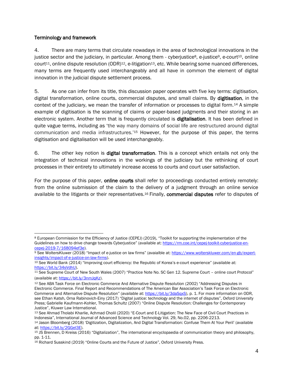#### Terminology and framework

4. There are many terms that circulate nowadays in the area of technological innovations in the justice sector and the judiciary, in particular. Among them - cyberjustice<sup>8</sup>, e-justice<sup>9</sup>, e-court<sup>10</sup>, online court<sup>11</sup>, online dispute resolution (ODR)<sup>12</sup>, e-litigation<sup>13</sup>, etc. While bearing some nuanced differences, many terms are frequently used interchangeably and all have in common the element of digital innovation in the judicial dispute settlement process.

5. As one can infer from its title, this discussion paper operates with five key terms: digitisation, digital transformation, online courts, commercial disputes, and small claims. By digitisation, in the context of the judiciary, we mean the transfer of information or processes to digital form.<sup>14</sup> A simple example of digitisation is the scanning of claims or paper-based judgments and their storing in an electronic system. Another term that is frequently circulated is **digitalisation**. It has been defined in quite vague terms, including as 'the way many domains of social life are restructured around digital communication and media infrastructures.'<sup>15</sup> However, for the purpose of this paper, the terms digitisation and digitalisation will be used interchangeably.

6. The other key notion is digital transformation. This is a concept which entails not only the integration of technical innovations in the workings of the judiciary but the rethinking of court processes in their entirety to ultimately increase access to courts and court user satisfaction.

For the purpose of this paper, **online courts** shall refer to proceedings conducted entirely remotely: from the online submission of the claim to the delivery of a judgment through an online service available to the litigants or their representatives.<sup>16</sup> Finally, commercial disputes refer to disputes of

<sup>8</sup> European Commission for the Efficiency of Justice (CEPEJ) (2019), "Toolkit for supporting the implementation of the Guidelines on how to drive change towards Cyberjustice" (available at: [https://rm.coe.int/cepej-toolkit-cyberjustice-en](https://rm.coe.int/cepej-toolkit-cyberjustice-en-cepej-2019-7/168094ef3e)[cepej-2019-7/168094ef3e\)](https://rm.coe.int/cepej-toolkit-cyberjustice-en-cepej-2019-7/168094ef3e).

<sup>9</sup> See WoltersKluwer (2018) "Impact of e-justice on law firms" (avaialble at: [https://www.wolterskluwer.com/en-gb/expert](https://www.wolterskluwer.com/en-gb/expert-insights/impact-of-e-justice-on-law-firms)[insights/impact-of-e-justice-on-law-firms\)](https://www.wolterskluwer.com/en-gb/expert-insights/impact-of-e-justice-on-law-firms).

<sup>10</sup> See World Bank (2014) "Improving court efficiency: the Republic of Korea's e-court experience" (available at: [https://bit.ly/34sVdhU\).](https://bit.ly/34sVdhU)

<sup>11</sup> See Supreme Court of New South Wales (2007) "Practice Note No. SC Gen 12. Supreme Court – online court Protocol" (available at: [https://bit.ly/3nmJqKz\)](https://bit.ly/3nmJqKz).

<sup>12</sup> See ABA Task Force on Electronic Commerce And Alternative Dispute Resolution (2002) "Addressing Disputes in Electronic Commerce. Final Report and Recommendations of The American Bar Association's Task Force on Electronic Commerce and Alternative Dispute Resolution" (available at: [https://bit.ly/3daSqxS\)](https://bit.ly/3daSqxS), p. 1. For more information on ODR, see Ethan Katsh, Orna Rabinovich-Einy (2017) "Digital justice: technology and the internet of disputes", Oxford University Press; Gabrielle Kaufmann-Kohler, Thomas Schultz (2007) "Online Dispute Resolution: Challenges for Contemporary Justice", Kluwer Law International.

<sup>13</sup> See Ahmad Tholabi Kharlie, Achmad Cholil (2020) "E-Court and E-Litigation: The New Face of Civil Court Practices in Indonesia", International Journal of Advanced Science and Technology Vol. 29, No.02, pp. 2206-2213.

<sup>14</sup> [Jason Bloomberg](https://www.forbes.com/sites/jasonbloomberg/) (2018) 'Digitization, Digitalization, And Digital Transformation: Confuse Them At Your Peril' (available at: [https://bit.ly/2GGel3E\)](https://bit.ly/2GGel3E).

<sup>15</sup> JS Brennen, D Kreiss (2016) "Digitalization", The international encyclopaedia of communication theory and philosophy, pp. 1-11.

<sup>16</sup> Richard Susskind (2019) "Online Courts and the Future of Justice", Oxford University Press.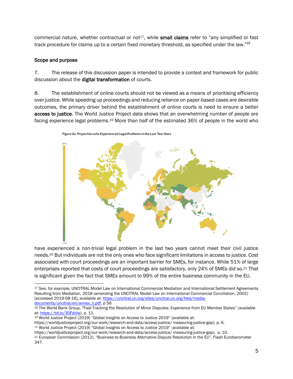commercial nature, whether contractual or not<sup>17</sup>, while **small claims** refer to "any simplified or fast track procedure for claims up to a certain fixed monetary threshold, as specified under the law."<sup>18</sup>

#### <span id="page-6-0"></span>Scope and purpose

7. The release of this discussion paper is intended to provide a context and framework for public discussion about the digital transformation of courts.

8. The establishment of online courts should not be viewed as a means of prioritising efficiency over justice. While speeding up proceedings and reducing reliance on paper-based cases are desirable outcomes, the primary driver behind the establishment of online courts is need to ensure a better access to justice. The World Justice Project data shows that an overwhelming number of people are facing experience legal problems.<sup>19</sup> More than half of the estimated 36% of people in the world who



Figure 2a. Proportion who Experienced Legal Problems in the Last Two Years

have experienced a non-trivial legal problem in the last two years cannot meet their civil justice needs. <sup>20</sup> But individuals are not the only ones who face significant limitations in access to justice. Cost associated with court proceedings are an important barrier for SMEs, for instance. While 51% of large enterprises reported that costs of court proceedings are satisfactory, only 24% of SMEs did so.<sup>21</sup> That is significant given the fact that SMEs amount to 99% of the entire business community in the EU.

<sup>19</sup> World Justice Project (2019) "Global Insights on Access to Justice 2019" (available at:

<sup>&</sup>lt;sup>17</sup> See, for example, UNCITRAL Model Law on International Commercial Mediation and International Settlement Agreements Resulting from Mediation, 2018 (amending the UNCITRAL Model Law on International Commercial Conciliation, 2002) [accessed 2019-08-16], available at: [https://uncitral.un.org/sites/uncitral.un.org/files/media](https://uncitral.un.org/sites/uncitral.un.org/files/media-documents/uncitral/en/annex_ii.pdf)[documents/uncitral/en/annex\\_ii.pdf,](https://uncitral.un.org/sites/uncitral.un.org/files/media-documents/uncitral/en/annex_ii.pdf) p 56

<sup>18</sup> The World Bank Group, "Fast-Tracking the Resolution of Minor Disputes: Experience from EU Member States" (available at: [https://bit.ly/30Fshlw\)](https://bit.ly/30Fshlw), p. 11.

https://worldjusticeproject.org/our-work/research-and-data/access-justice/ measuring-justice-gap), p. 6.

<sup>20</sup> World Justice Project (2019) "Global Insights on Access to Justice 2019" (available at:

https://worldjusticeproject.org/our-work/research-and-data/access-justice/ measuring-justice-gap), p. 10.

<sup>21</sup> European Commission (2012), "Business-to-Business Alternative Dispute Resolution in the EU", Flash Eurobarometer 347.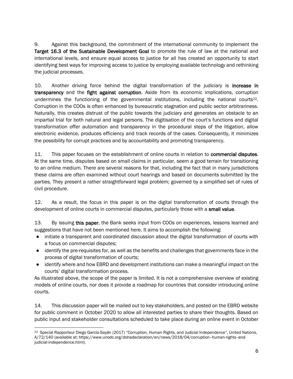9. Against this background, the commitment of the international community to implement the Target 16.3 of the Sustainable Development Goal to promote the rule of law at the national and international levels, and ensure equal access to justice for all has created an opportunity to start identifying best ways for improving access to justice by employing available technology and rethinking the judicial processes.

10. Another driving force behind the digital transformation of the judiciary is **increase in** transparency and the fight against corruption. Aside from its economic implications, corruption undermines the functioning of the governmental institutions, including the national courts22. Corruption in the COOs is often enhanced by bureaucratic stagnation and public sector arbitrariness. Naturally, this creates distrust of the public towards the judiciary and generates an obstacle to an impartial trial for both natural and legal persons. The digitisation of the court's functions and digital transformation offer automation and transparency in the procedural steps of the litigation, allow electronic evidence, produces efficiency and track records of the cases. Consequently, it minimizes the possibility for corrupt practices and by accountability and promoting transparency.

11. This paper focuses on the establishment of online courts in relation to **commercial disputes**. At the same time, disputes based on small claims in particular, seem a good terrain for transitioning to an online medium. There are several reasons for that, including the fact that in many jurisdictions these claims are often examined without court hearings and based on documents submitted by the parties. They present a rather straightforward legal problem; governed by a simplified set of rules of civil procedure.

12. As a result, the focus in this paper is on the digital transformation of courts through the development of online courts in commercial disputes, particularly those with a small value.

13. By issuing this paper, the Bank seeks input from COOs on experiences, lessons learned and suggestions that have not been mentioned here. It aims to accomplish the following:

- initiate a transparent and coordinated discussion about the digital transformation of courts with a focus on commercial disputes;
- identify the pre-requisites for, as well as the benefits and challenges that governments face in the process of digital transformation of courts;
- identify where and how EBRD and development institutions can make a meaningful impact on the courts' digital transformation process.

As illustrated above, the scope of the paper is limited. It is not a comprehensive overview of existing models of online courts, nor does it provide a roadmap for countries that consider introducing online courts.

14. This discussion paper will be mailed out to key stakeholders, and posted on the EBRD website for public comment in October 2020 to allow all interested parties to share their thoughts. Based on public input and stakeholder consultations scheduled to take place during an online event in October

<sup>22</sup> Special Rapporteur Diego García-Sayán (2017) "Corruption, Human Rights, and Judicial Independence", United Nations, A/72/140 (available at: https://www.unodc.org/dohadeclaration/en/news/2018/04/corruption--human-rights-andjudicial-independence.html).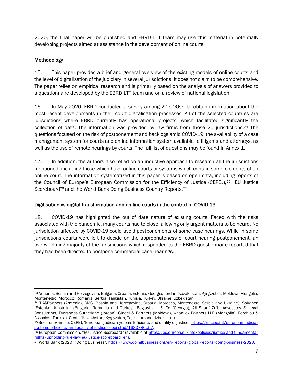2020, the final paper will be published and EBRD LTT team may use this material in potentially developing projects aimed at assistance in the development of online courts.

# <span id="page-8-0"></span>Methodology

15. This paper provides a brief and general overview of the existing models of online courts and the level of digitalisation of the judiciary in several jurisdictions. It does not claim to be comprehensive. The paper relies on empirical research and is primarily based on the analysis of answers provided to a questionnaire developed by the EBRD LTT team and on a review of national legislation.

16. In May 2020, EBRD conducted a survey among 20 COOs<sup>23</sup> to obtain information about the most recent developments in their court digitalisation processes. All of the selected countries are jurisdictions where EBRD currently has operational projects, which facilitated significantly the collection of data. The information was provided by law firms from those 20 jurisdictions.<sup>24</sup> The questions focused on the risk of postponement and backlogs amid COVID-19, the availability of a case management system for courts and online information system available to litigants and attorneys, as well as the use of remote hearings by courts. The full list of questions may be found in Annex 1.

17. In addition, the authors also relied on an inductive approach to research all the jurisdictions mentioned, including those which have online courts or systems which contain some elements of an online court. The information systematized in this paper is based on open data, including reports of the Council of Europe's European Commission for the Efficiency of Justice (CEPEJ),25 EU Justice Scoreboard<sup>26</sup> and the World Bank Doing Business Country Reports.<sup>27</sup>

#### <span id="page-8-1"></span>Digitisation vs digital transformation and on-line courts in the context of COVID-19

18. COVID-19 has highlighted the out of date nature of existing courts. Faced with the risks associated with the pandemic, many courts had to close, allowing only urgent matters to be heard. No jurisdiction affected by COVID-19 could avoid postponements of some case hearings. While in some jurisdictions courts were left to decide on the appropriateness of court hearing postponement, an overwhelming majority of the jurisdictions which responded to the EBRD questionnaire reported that they had been directed to postpone commercial case hearings.

<sup>23</sup> Armenia, Bosnia and Herzegovina, Bulgaria, Croatia, Estonia, Georgia, Jordan, Kazakhstan, Kyrgyzstan, Moldova, Mongolia, Montenegro, Morocco, Romania, Serbia, Tajikistan, Tunisia, Turkey, Ukraine, Uzbekistan.

<sup>24</sup> TK&Partners (Armenia), CMS (Bosnia and Herzegovina, Croatia, Morocco, Montenegro, Serbia and Ukraine), Soiranen (Estonia), Kinstellar (Bulgaria, Romania and Turkey), Begiashvili & Co (Georgia), Ali Sharif Zu'bi Advocates & Legal Consultants, Eversheds Sutherland (Jordan), Gladei & Partners (Moldova), KhanLex Partners LLP (Mongolia), Ferchiou & Associés (Tunisia), Centil (Kazakhstan, Kyrgyzstan, Tajikistan and Uzbekistan).

<sup>25</sup> See, for example, CEPEJ, 'European judicial systems Efficiency and quality of justice', [https://rm.coe.int/european-judicial](https://rm.coe.int/european-judicial-systems-efficiency-and-quality-of-justice-cepej-stud/1680786b57)[systems-efficiency-and-quality-of-justice-cepej-stud/1680786b57,](https://rm.coe.int/european-judicial-systems-efficiency-and-quality-of-justice-cepej-stud/1680786b57)

<sup>26</sup> European Commission, "EU Justice Scorboard" (available a[t https://ec.europa.eu/info/policies/justice-and-fundamental](https://ec.europa.eu/info/policies/justice-and-fundamental-rights/upholding-rule-law/eu-justice-scoreboard_en)[rights/upholding-rule-law/eu-justice-scoreboard\\_en\)](https://ec.europa.eu/info/policies/justice-and-fundamental-rights/upholding-rule-law/eu-justice-scoreboard_en).

<sup>27</sup> World Bank (2020) "Doing Business", [https://www.doingbusiness.org/en/reports/global-reports/doing-business-2020.](https://www.doingbusiness.org/en/reports/global-reports/doing-business-2020)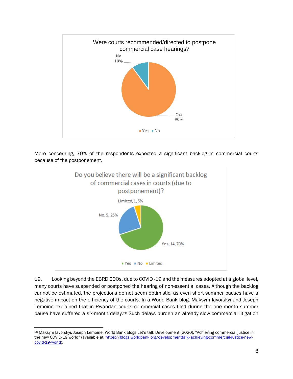

More concerning, 70% of the respondents expected a significant backlog in commercial courts because of the postponement.



19. Looking beyond the EBRD COOs, due to COVID -19 and the measures adopted at a global level, many courts have suspended or postponed the hearing of non-essential cases. Although the backlog cannot be estimated, the projections do not seem optimistic, as even short summer pauses have a negative impact on the efficiency of the courts. In a World Bank blog, Maksym Iavorskyi and Joseph Lemoine explained that in Rwandan courts commercial cases filed during the one month summer pause have suffered a six-month delay.<sup>28</sup> Such delays burden an already slow commercial litigation

<sup>&</sup>lt;sup>28</sup> Maksym lavorskyi, Joseph Lemoine, World Bank blogs Let's talk Development (2020), "Achieving commercial justice in the new COVID-19 world" (available at: [https://blogs.worldbank.org/developmenttalk/achieving-commercial-justice-new](https://blogs.worldbank.org/developmenttalk/achieving-commercial-justice-new-covid-19-world)[covid-19-world\)](https://blogs.worldbank.org/developmenttalk/achieving-commercial-justice-new-covid-19-world).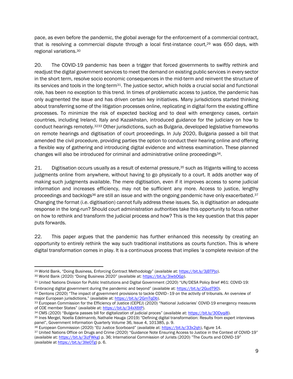pace, as even before the pandemic, the global average for the enforcement of a commercial contract, that is resolving a commercial dispute through a local first-instance court,<sup>29</sup> was 650 days, with regional variations. 30

20. The COVID-19 pandemic has been a trigger that forced governments to swiftly rethink and readjust the digital government services to meet the demand on existing public services in every sector in the short term, resolve socio economic consequences in the mid-term and reinvent the structure of its services and tools in the long-term<sup>31</sup>. The justice sector, which holds a crucial social and functional role, has been no exception to this trend. In times of problematic access to justice, the pandemic has only augmented the issue and has driven certain key initiatives. Many jurisdictions started thinking about transferring some of the litigation processes online, replicating in digital form the existing offline processes. To minimize the risk of expected backlog and to deal with emergency cases, certain countries, including Ireland, Italy and Kazakhstan, introduced guidance for the judiciary on how to conduct hearings remotely.<sup>3233</sup> Other jurisdictions, such as Bulgaria, developed legislative frameworks on remote hearings and digitisation of court proceedings. In July 2020, Bulgaria passed a bill that amended the civil procedure, providing parties the option to conduct their hearing online and offering a flexible way of gathering and introducing digital evidence and witness examination. These planned changes will also be introduced for criminal and administrative online proceedings34.

21. Digitisation occurs usually as a result of external pressure,<sup>35</sup> such as litigants willing to access judgments online from anywhere, without having to go physically to a court. It adds another way of making such judgments available. The mere digitisation, even if it improves access to some judicial information and increases efficiency, may not be sufficient any more. Access to justice, lengthy proceedings and backlogs<sup>36</sup> are still an issue and with the ongoing pandemic have only exacerbated.<sup>37</sup> Changing the format (i.e. digitisation) cannot fully address these issues. So, is digitisation an adequate response in the long-run? Should court administration authorities take this opportunity to focus rather on how to rethink and transform the judicial process and how? This is the key question that this paper puts forwards.

22. This paper argues that the pandemic has further enhanced this necessity by creating an opportunity to entirely rethink the way such traditional institutions as courts function. This is where digital transformation comes in play. It is a continuous process that implies 'a complete revision of the

<sup>29</sup> World Bank, "Doing Business, Enforcing Contract Methodology" (available at: [https://bit.ly/3jBTPjo\)](https://bit.ly/3jBTPjo).

<sup>30</sup> World Bank (2020) "Doing Business 2020" (available at: [https://bit.ly/3iwbOGp\).](https://bit.ly/3iwbOGp)

<sup>31</sup> United Nations Division for Public Institutions and Digital Government (2020) "UN/DESA Policy Brief #61: COVID-19: Embracing digital government during the pandemic and beyond" (available at: [https://bit.ly/2GudT90\)](https://bit.ly/2GudT90).

<sup>32</sup> Dentons (2020) "The impact of government provisions to tackle COVID–19 on the activity of tribunals. An overview of major European jurisdictions." (available at: [https://bit.ly/2GmTqDb\)](https://bit.ly/2GmTqDb).

<sup>33</sup> European Commission for the Efficiency of Justice (CEPEJ) (2020) "National Judiciaries' COVID-19 emergency measures of COE member States" (available at: [https://bit.ly/34xX6tP\)](https://bit.ly/34xX6tP).

<sup>34</sup> CMS (2020) "Bulgaria passes bill for digitalization of judicial proces" (available at: [https://bit.ly/30Dyqi8\)](https://bit.ly/30Dyqi8).

<sup>35</sup> [Ines Mergel, Noella Edelmannb, Nathalie Hauga](https://www.sciencedirect.com/science/article/pii/S0740624X18304131#!) (2019) "Defining digital transformation: Results from expert interviews panel", [Government Information Quarterly](https://www.sciencedirect.com/science/journal/0740624X) [Volume 36, Issue 4,](https://www.sciencedirect.com/science/journal/0740624X/36/4) 101385, p. 9.

<sup>36</sup> European Commission (2020) "EU Justice Scorboard" (available at: [https://bit.ly/33x2qh\)](https://bit.ly/33x2qh), figure 14.

<sup>&</sup>lt;sup>37</sup> United Nations Office on Drugs and Crime (2020) "Guidance Note Ensuring Access to Justice in the Context of COVID-19" (available at: [https://bit.ly/3izFWkg\)](https://bit.ly/3izFWkg) p. 36; International Commission of Jurists (2020) "The Courts and COVID-19" (available at [https://bit.ly/3lle0Tg\)](https://bit.ly/3lle0Tg) p. 6.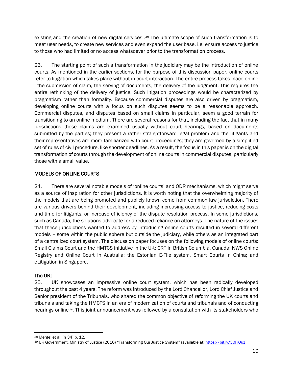existing and the creation of new digital services'.<sup>38</sup> The ultimate scope of such transformation is to meet user needs, to create new services and even expand the user base, i.e. ensure access to justice to those who had limited or no access whatsoever prior to the transformation process.

23. The starting point of such a transformation in the judiciary may be the introduction of online courts. As mentioned in the earlier sections, for the purpose of this discussion paper, online courts refer to litigation which takes place without in-court interaction. The entire process takes place online - the submission of claim, the serving of documents, the delivery of the judgment. This requires the entire rethinking of the delivery of justice. Such litigation proceedings would be characterized by pragmatism rather than formality. Because commercial disputes are also driven by pragmatism, developing online courts with a focus on such disputes seems to be a reasonable approach. Commercial disputes, and disputes based on small claims in particular, seem a good terrain for transitioning to an online medium. There are several reasons for that, including the fact that in many jurisdictions these claims are examined usually without court hearings, based on documents submitted by the parties; they present a rather straightforward legal problem and the litigants and their representatives are more familiarized with court proceedings; they are governed by a simplified set of rules of civil procedure, like shorter deadlines. As a result, the focus in this paper is on the digital transformation of courts through the development of online courts in commercial disputes, particularly those with a small value.

# <span id="page-11-0"></span>MODELS OF ONLINE COURTS

24. There are several notable models of 'online courts' and ODR mechanisms, which might serve as a source of inspiration for other jurisdictions. It is worth noting that the overwhelming majority of the models that are being promoted and publicly known come from common law jurisdiction. There are various drivers behind their development, including increasing access to justice, reducing costs and time for litigants, or increase efficiency of the dispute resolution process. In some jurisdictions, such as Canada, the solutions advocate for a reduced reliance on attorneys. The nature of the issues that these jurisdictions wanted to address by introducing online courts resulted in several different models – some within the public sphere but outside the judiciary, while others as an integrated part of a centralized court system. The discussion paper focuses on the following models of online courts: Small Claims Court and the HMTCS initiative in the UK; CRT in British Columbia, Canada; NWS Online Registry and Online Court in Australia; the Estonian E-File system, Smart Courts in China; and eLitigation in Singapore.

# The UK:

25. UK showcases an impressive online court system, which has been radically developed throughout the past 4 years. The reform was introduced by the Lord Chancellor, Lord Chief Justice and Senior president of the Tribunals, who shared the common objective of reforming the UK courts and tribunals and taking the HMCTS in an era of modernization of courts and tribunals and of conducting hearings online<sup>39</sup>. This joint announcement was followed by a consultation with its stakeholders who

<sup>38</sup> Mergel et al. (n 34) p. 12.

<sup>39</sup> UK Government, Ministry of Justice (2016) "Transforming Our Justice System" (available at: [https://bit.ly/30FiOuz\)](https://bit.ly/30FiOuz).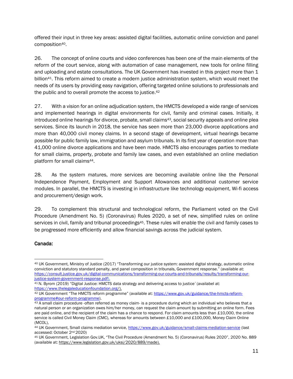offered their input in three key areas: assisted digital facilities, automatic online conviction and panel composition40.

26. The concept of online courts and video conferences has been one of the main elements of the reform of the court service, along with automation of case management, new tools for online filling and uploading and estate consultations. The UK Government has invested in this project more than 1 billion<sup>41</sup>. This reform aimed to create a modern justice administration system, which would meet the needs of its users by providing easy navigation, offering targeted online solutions to professionals and the public and to overall promote the access to justice.<sup>42</sup>

27. With a vision for an online adjudication system, the HMCTS developed a wide range of services and implemented hearings in digital environments for civil, family and criminal cases. Initially, it introduced online hearings for divorce, probate, small claims43, social security appeals and online plea services. Since its launch in 2018, the service has seen more than 23,000 divorce applications and more than 40,000 civil money claims. In a second stage of development, virtual hearings became possible for public family law, immigration and asylum tribunals. In its first year of operation more than 41,000 online divorce applications and have been made. HMCTS also encourages parties to mediate for small claims, property, probate and family law cases, and even established an online mediation platform for small claims44.

28. As the system matures, more services are becoming available online like the Personal Independence Payment, Employment and Support Allowances and additional customer service modules. In parallel, the HMCTS is investing in infrastructure like technology equipment, Wi-fi access and procurement/design work.

29. To complement this structural and technological reform, the Parliament voted on the Civil Procedure (Amendment No. 5) (Coronavirus) Rules 2020, a set of new, simplified rules on online services in civil, family and tribunal proceedings<sup>45</sup>. These rules will enable the civil and family cases to be progressed more efficiently and allow financial savings across the judicial system.

#### Canada:

<sup>40</sup> UK Government, Ministry of Justice (2017) "Transforming our justice system: assisted digital strategy, automatic online conviction and statutory standard penalty, and panel composition in tribunals, Government response." (available at: [https://consult.justice.gov.uk/digital-communications/transforming-our-courts-and-tribunals/results/transforming-our](https://consult.justice.gov.uk/digital-communications/transforming-our-courts-and-tribunals/results/transforming-our-justice-system-government-response.pdf)[justice-system-government-response.pdf\)](https://consult.justice.gov.uk/digital-communications/transforming-our-courts-and-tribunals/results/transforming-our-justice-system-government-response.pdf).

<sup>41</sup> N. Byrom (2019) "Digital Justice: HMCTS data strategy and delivering access to justice" (availabel at: [https://www.thelegaleducationfoundation.org/\)](https://www.thelegaleducationfoundation.org/).

<sup>42</sup> UK Government "The HMCTS reform programme" (available at: [https://www.gov.uk/guidance/the-hmcts-reform](https://www.gov.uk/guidance/the-hmcts-reform-programme#our-reform-programme)[programme#our-reform-programme\)](https://www.gov.uk/guidance/the-hmcts-reform-programme#our-reform-programme).

<sup>43</sup> A small claim procedure -often referred as money claim- is a procedure during which an individual who believes that a natural person or an organization owes him/her money, can request the claim amount by submitting an online form. Fees are paid online, and the recipient of the claim has a chance to respond. For claim amounts less than £10,000, the online service is called Civil Money Claim (CMC), whereas for amounts between £10,000 and £100,000, Money Claim Online  $(MCOL)$ 

<sup>44</sup> UK Government, Small claims mediation service,<https://www.gov.uk/guidance/small-claims-mediation-service> (last accessed: October 2nd 2020)

<sup>45</sup> UK Government, Legislation Gov.UK, "The Civil Procedure (Amendment No. 5) (Coronavirus) Rules 2020", 2020 No. 889 (available at: [https://www.legislation.gov.uk/uksi/2020/889/made\)](https://www.legislation.gov.uk/uksi/2020/889/made).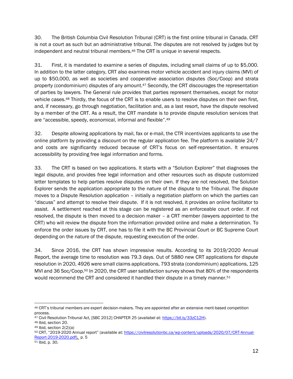30. The British Columbia Civil Resolution Tribunal (CRT) is the first online tribunal in Canada. CRT is not a court as such but an administrative tribunal. The disputes are not resolved by judges but by independent and neutral tribunal members.<sup>46</sup> The CRT is unique in several respects.

31. First, it is mandated to examine a series of disputes, including small claims of up to \$5,000. In addition to the latter category, CRT also examines motor vehicle accident and injury claims (MVI) of up to \$50,000, as well as societies and cooperative association disputes (Soc/Coop) and strata property (condominium) disputes of any amount.<sup>47</sup> Secondly, the CRT discourages the representation of parties by lawyers. The General rule provides that parties represent themselves, except for motor vehicle cases.<sup>48</sup> Thirdly, the focus of the CRT is to enable users to resolve disputes on their own first, and, if necessary, go through negotiation, facilitation and, as a last resort, have the dispute resolved by a member of the CRT. As a result, the CRT mandate is to provide dispute resolution services that are "accessible, speedy, economical, informal and flexible".<sup>49</sup>

32. Despite allowing applications by mail, fax or e-mail, the CTR incentivizes applicants to use the online platform by providing a discount on the regular application fee. The platform is available 24/7 and costs are significantly reduced because of CRT's focus on self-representation. It ensures accessibility by providing free legal information and forms.

33. The CRT is based on two applications. It starts with a "Solution Explorer" that diagnoses the legal dispute, and provides free legal information and other resources such as dispute customized letter templates to help parties resolve disputes on their own. If they are not resolved, the Solution Explorer sends the application appropriate to the nature of the dispute to the Tribunal. The dispute moves to a Dispute Resolution application – initially a negotiation platform on which the parties can "discuss" and attempt to resolve their dispute. If it is not resolved, it provides an online facilitator to assist. A settlement reached at this stage can be registered as an enforceable court order. If not resolved, the dispute is then moved to a decision maker – a CRT member (lawyers appointed to the CRT) who will review the dispute from the information provided online and make a determination. To enforce the order issues by CRT, one has to file it with the BC Provincial Court or BC Supreme Court depending on the nature of the dispute, requesting execution of the order.

34. Since 2016, the CRT has shown impressive results. According to its 2019/2020 Annual Report, the average time to resolution was 79.3 days. Out of 5880 new CRT applications for dispute resolution in 2020, 4926 were small claims applications, 793 strata (condominium) applications, 125 MVI and 36 Soc/Coop.<sup>50</sup> In 2020, the CRT user satisfaction survey shows that 80% of the respondents would recommend the CRT and considered it handled their dispute in a timely manner.<sup>51</sup>

<sup>46</sup> CRT's tribunal members are expert decision-makers. They are appointed after an extensive merit-based competition process.

<sup>47</sup> Civil Resolution Tribunal Act, [SBC 2012] CHAPTER 25 (availabel at: [https://bit.ly/33zC12H\)](https://bit.ly/33zC12H).

<sup>48</sup> Ibid, section 20.

<sup>49</sup> Ibid, section 2(2)(a)

<sup>50</sup> CRT, "2019-2020 Annual report" (available at: [https://civilresolutionbc.ca/wp-content/uploads/2020/07/CRT-Annual-](https://civilresolutionbc.ca/wp-content/uploads/2020/07/CRT-Annual-Report-2019-2020.pdf)[Report-2019-2020.pdf\)](https://civilresolutionbc.ca/wp-content/uploads/2020/07/CRT-Annual-Report-2019-2020.pdf), p. 5

<sup>51</sup> Ibid, p. 30.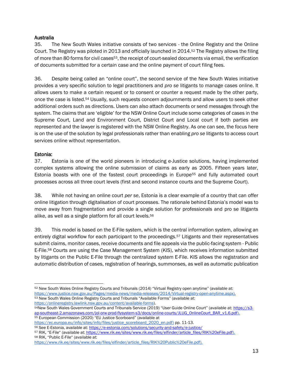#### Australia

35. The New South Wales initiative consists of two services - the Online Registry and the Online Court. The Registry was piloted in 2013 and officially launched in 2014.<sup>52</sup> The Registry allows the filing of more than 80 forms for civil cases<sup>53</sup>, the receipt of court-sealed documents via email, the verification of documents submitted for a certain case and the online payment of court filing fees.

36. Despite being called an "online court", the second service of the New South Wales initiative provides a very specific solution to legal practitioners and *pro se* litigants to manage cases online. It allows users to make a certain request or to consent or counter a request made by the other party, once the case is listed.<sup>54</sup> Usually, such requests concern adjournments and allow users to seek other additional orders such as directions. Users can also attach documents or send messages through the system. The claims that are 'eligible' for the NSW Online Court include some categories of cases in the Supreme Court, Land and Environment Court, District Court and Local court if both parties are represented and the lawyer is registered with the NSW Online Registry. As one can see, the focus here is on the use of the solution by legal professionals rather than enabling *pro se* litigants to access court services online without representation.

#### Estonia:

37. Estonia is one of the world pioneers in introducing e-Justice solutions, having implemented complex systems allowing the online submission of claims as early as 2005. Fifteen years later, Estonia boasts with one of the fastest court proceedings in Europe<sup>55</sup> and fully automated court processes across all three court levels (first and second instance courts and the Supreme Court).

38. While not having an online court *per se*, Estonia is a clear example of a country that can offer online litigation through digitalisation of court processes. The rationale behind Estonia's model was to move away from fragmentation and provide a single solution for professionals and pro se litigants alike, as well as a single platform for all court levels.<sup>56</sup>

39. This model is based on the E-File system, which is the central information system, allowing an entirely digital workflow for each participant to the proceedings.<sup>57</sup> Litigants and their representatives submit claims, monitor cases, receive documents and file appeals via the public-facing system - Public E-File.<sup>58</sup> Courts are using the Case Management System (KIS), which receives information submitted by litigants on the Public E-File through the centralized system E-File. KIS allows the registration and automatic distribution of cases, registration of hearings, summonses, as well as automatic publication

<sup>58</sup> RIK, "Public E-File" (available at:

<sup>52</sup> New South Wales Online Registry Courts and Tribunals (2014) "Virtual Registry open anytime" (available at: [https://www.justice.nsw.gov.au/Pages/media-news/media-releases/2014/Virtual-registry-open-anytime.aspx\)](https://www.justice.nsw.gov.au/Pages/media-news/media-releases/2014/Virtual-registry-open-anytime.aspx). 53 New South Wales Online Registry Courts and Tribunals "Available Forms" (available at: [https://onlineregistry.lawlink.nsw.gov.au/content/available-forms\)](https://onlineregistry.lawlink.nsw.gov.au/content/available-forms).

<sup>54</sup>New South Wales Government Courts and Tribunals Service (2019) "User Guide Online Court" (available at: [https://s3](https://s3-ap-southeast-2.amazonaws.com/jol-orw-prod-flysystem-s3/docs/online-courts/JLUG_OnlineCourt_BAR_v1.6.pdf) [ap-southeast-2.amazonaws.com/jol-orw-prod-flysystem-s3/docs/online-courts/JLUG\\_OnlineCourt\\_BAR\\_v1.6.pdf\)](https://s3-ap-southeast-2.amazonaws.com/jol-orw-prod-flysystem-s3/docs/online-courts/JLUG_OnlineCourt_BAR_v1.6.pdf). <sup>55</sup> European Commission (2020) "EU Justice Scorboard" (available at

[https://ec.europa.eu/info/sites/info/files/justice\\_scoreboard\\_2020\\_en.pdf\)](https://ec.europa.eu/info/sites/info/files/justice_scoreboard_2020_en.pdf) pp. 11-13.

<sup>56</sup> See E-Estonia, available at[: https://e-estonia.com/solutions/security-and-safety/e-justice/](https://e-estonia.com/solutions/security-and-safety/e-justice/)

<sup>57</sup> RIK, "E-File" (available at: [https://www.rik.ee/sites/www.rik.ee/files/elfinder/article\\_files/RIK%20eFile.pdf\)](https://www.rik.ee/sites/www.rik.ee/files/elfinder/article_files/RIK%20eFile.pdf).

[https://www.rik.ee/sites/www.rik.ee/files/elfinder/article\\_files/RIK%20Public%20eFile.pdf\)](https://www.rik.ee/sites/www.rik.ee/files/elfinder/article_files/RIK%20Public%20eFile.pdf).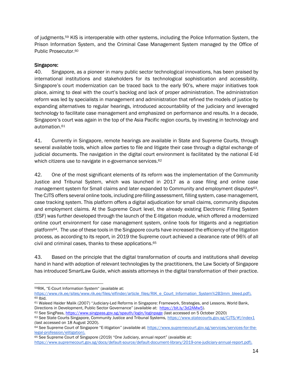of judgments.<sup>59</sup> KIS is interoperable with other systems, including the Police Information System, the Prison Information System, and the Criminal Case Management System managed by the Office of Public Prosecutor.<sup>60</sup>

#### Singapore:

40. Singapore, as a pioneer in many public sector technological innovations, has been praised by international institutions and stakeholders for its technological sophistication and accessibility. Singapore's court modernization can be traced back to the early 90's, where major initiatives took place, aiming to deal with the court's backlog and lack of proper administration. The administration reform was led by specialists in management and administration that refined the models of justice by expanding alternatives to regular hearings, introduced accountability of the judiciary and leveraged technology to facilitate case management and emphasized on performance and results. In a decade, Singapore's court was again in the top of the Asia Pacific region courts, by investing in technology and automation. 61

41. Currently in Singapore, remote hearings are available in State and Supreme Courts, through several available tools, which allow parties to file and litigate their case through a digital exchange of judicial documents. The navigation in the digital court environment is facilitated by the national E-Id which citizens use to navigate in e-governance services.<sup>62</sup>

42. One of the most significant elements of its reform was the implementation of the Community Justice and Tribunal System, which was launched in 2017 as a case filing and online case management system for Small claims and later expanded to Community and employment disputes63. The CJTS offers several online tools, including pre-filling assessment, filling system, case management, case tracking system. This platform offers a digital adjudication for small claims, community disputes and employment claims. At the Supreme Court level, the already existing Electronic Filling System (ESF) was further developed through the launch of the E-litigation module, which offered a modernized online court environment for case management system, online tools for litigants and a negotiation platform64. The use of these tools in the Singapore courts have increased the efficiency of the litigation process, as according to its report, in 2019 the Supreme court achieved a clearance rate of 96% of all civil and criminal cases, thanks to these applications. 65

43. Based on the principle that the digital transformation of courts and institutions shall develop hand in hand with adoption of relevant technologies by the practitioners, the Law Society of Singapore has introduced SmartLaw Guide, which assists attorneys in the digital transformation of their practice.

<sup>59</sup>RIK, "E-Court Information System" (available at:

[https://www.rik.ee/sites/www.rik.ee/files/elfinder/article\\_files/RIK\\_e\\_Court\\_Information\\_System%2B3mm\\_bleed.pdf\)](https://www.rik.ee/sites/www.rik.ee/files/elfinder/article_files/RIK_e_Court_Information_System%2B3mm_bleed.pdf). <sup>60</sup> Ibid.

<sup>61</sup> Waleed Haider Malik (2007) "Judiciary-Led Reforms in Singapore: Framework, Strategies, and Lessons, World Bank, Directions in Development, Public Sector Governance" (available at: [https://bit.ly/3d2AMw5\)](https://bit.ly/3d2AMw5).

<sup>62</sup> See SingPass,<https://www.singpass.gov.sg/spauth/login/loginpage> (last accessed on 5 October 2020)

<sup>63</sup> See State Courts Singapore, Community Justice and Tribunal System[s,](https://www.statecourts.gov.sg/CJTS/#!/index1) <https://www.statecourts.gov.sg/CJTS/#!/index1> (last accessed on 18 August 2020).

<sup>64</sup> See Supreme Court of Singapore "E-litigation" (available at: [https://www.supremecourt.gov.sg/services/services-for-the](https://www.supremecourt.gov.sg/services/services-for-the-legal-profession/elitigation)[legal-profession/elitigation\)](https://www.supremecourt.gov.sg/services/services-for-the-legal-profession/elitigation).

<sup>65</sup> See Supreme Court of Singapore (2019) "One Judiciary, annual report" (avaialble at:

[https://www.supremecourt.gov.sg/docs/default-source/default-document-library/2019-one-judiciary-annual-report.pdf\)](https://www.supremecourt.gov.sg/docs/default-source/default-document-library/2019-one-judiciary-annual-report.pdf).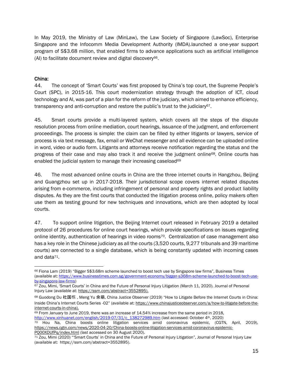In May 2019, the Ministry of Law (MinLaw), the Law Society of Singapore (LawSoc), Enterprise Singapore and the Infocomm Media Development Authority (IMDA).launched a one-year support program of S\$3.68 million, that enabled firms to advance applications such as artificial intelligence (AI) to facilitate document review and digital discovery66.

# China:

44. The concept of 'Smart Courts' was first proposed by China's top court, the Supreme People's Court (SPC), in 2015-16. This court modernization strategy through the adoption of ICT, cloud technology and AI, was part of a plan for the reform of the judiciary, which aimed to enhance efficiency, transparency and anti-corruption and restore the public's trust to the judiciary<sup>67</sup>.

45. Smart courts provide a multi-layered system, which covers all the steps of the dispute resolution process from online mediation, court hearings, issuance of the judgment, and enforcement proceedings. The process is simple: the claim can be filled by either litigants or lawyers, service of process is via text message, fax, email or WeChat messenger and all evidence can be uploaded online in word, video or audio form. Litigants and attorneys receive notification regarding the status and the progress of their case and may also track it and receive the judgment online<sup>68</sup>. Online courts has enabled the judicial system to manage their increasing caseload<sup>69</sup>

46. The most advanced online courts in China are the three internet courts in Hangzhou, Beijing and Guangzhou set up in 2017-2018. Their jurisdictional scope covers internet related disputes arising from e-commerce, including infringement of personal and property rights and product liability disputes. As they are the first courts that conducted the litigation process online, policy makers often use them as testing ground for new techniques and innovations, which are then adopted by local courts.

47. To support online litigation, the Beijing Internet court released in February 2019 a detailed protocol of 26 procedures for online court hearings, which provide specifications on issues regarding online identity, authentication of hearings in video rooms<sup>70</sup>. Centralization of case management also has a key role in the Chinese judiciary as all the courts (3,520 courts, 9,277 tribunals and 39 maritime courts) are connected to a single database, which is being constantly updated with incoming cases and data71.

<sup>66</sup> Fiona Lam (2019) "Bigger S\$3.68m scheme launched to boost tech use by Singapore law firms", Business Times (available at: [https://www.businesstimes.com.sg/government-economy/bigger-s368m-scheme-launched-to-boost-tech-use](https://www.businesstimes.com.sg/government-economy/bigger-s368m-scheme-launched-to-boost-tech-use-by-singapore-law-firms)[by-singapore-law-firms\)](https://www.businesstimes.com.sg/government-economy/bigger-s368m-scheme-launched-to-boost-tech-use-by-singapore-law-firms)

<sup>67</sup> Zou, Mimi, 'Smart Courts' in China and the Future of Personal Injury Litigation (March 11, 2020). Journal of Personal Injury Law (available at: [https://ssrn.com/abstract=3552895\)](https://ssrn.com/abstract=3552895).

<sup>68</sup> Guodong Du 杜国栋 , Meng Yu 余萌, China Justice Observer (2019) "How to Litigate Before the Internet Courts in China: Inside China's Internet Courts Series -02" (available at: [https://www.chinajusticeobserver.com/a/how-to-litigate-before-the](https://www.chinajusticeobserver.com/a/how-to-litigate-before-the-internet-courts-in-china)[internet-courts-in-china\)](https://www.chinajusticeobserver.com/a/how-to-litigate-before-the-internet-courts-in-china).

<sup>69</sup> From January to June 2019, there was an increase of 14.54% increase from the same period in 2018, [http://www.xinhuanet.com/english/2019-07/31/c\\_138272989.htm](http://www.xinhuanet.com/english/2019-07/31/c_138272989.htm) (last accessed: October 4th, 2020)

<sup>70</sup> Hou Na, China boosts online litigation services amid coronavirus epidemic, (CGTN, April, 2019)[,](https://news.cgtn.com/news/2020-04-20/China-boosts-online-litigation-services-amid-coronavirus-epidemic-PQ00XDUfPq/index.html) [https://news.cgtn.com/news/2020-04-20/China-boosts-online-litigation-services-amid-coronavirus-epidemic-](https://news.cgtn.com/news/2020-04-20/China-boosts-online-litigation-services-amid-coronavirus-epidemic-PQ00XDUfPq/index.html)[PQ00XDUfPq/index.html](https://news.cgtn.com/news/2020-04-20/China-boosts-online-litigation-services-amid-coronavirus-epidemic-PQ00XDUfPq/index.html) (last accessed on 30 August 2020).

<sup>71</sup> Zou, Mimi (2020) "'Smart Courts' in China and the Future of Personal Injury Litigation", Journal of Personal Injury Law (available at: [https://ssrn.com/abstract=3552895\)](https://ssrn.com/abstract=3552895).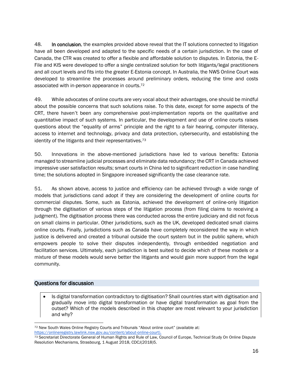48. In conclusion, the examples provided above reveal that the IT solutions connected to litigation have all been developed and adapted to the specific needs of a certain jurisdiction. In the case of Canada, the CTR was created to offer a flexible and affordable solution to disputes. In Estonia, the E-File and KIS were developed to offer a single centralized solution for both litigants/legal practitioners and all court levels and fits into the greater E-Estonia concept. In Australia, the NWS Online Court was developed to streamline the processes around preliminary orders, reducing the time and costs associated with in-person appearance in courts.<sup>72</sup>

49. While advocates of online courts are very vocal about their advantages, one should be mindful about the possible concerns that such solutions raise. To this date, except for some aspects of the CRT, there haven't been any comprehensive post-implementation reports on the qualitative and quantitative impact of such systems. In particular, the development and use of online courts raises questions about the "equality of arms" principle and the right to a fair hearing, computer illiteracy, access to internet and technology, privacy and data protection, cybersecurity, and establishing the identity of the litigants and their representatives.<sup>73</sup>

50. Innovations in the above-mentioned jurisdictions have led to various benefits: Estonia managed to streamline judicial processes and eliminate data redundancy; the CRT in Canada achieved impressive user satisfaction results; smart courts in China led to significant reduction in case handling time; the solutions adopted in Singapore increased significantly the case clearance rate.

51. As shown above, access to justice and efficiency can be achieved through a wide range of models that jurisdictions cand adopt if they are considering the development of online courts for commercial disputes. Some, such as Estonia, achieved the development of online-only litigation through the digitisation of various steps of the litigation process (from filing claims to receiving a judgment). The digitisation process there was conducted across the entire judiciary and did not focus on small claims in particular. Other jurisdictions, such as the UK, developed dedicated small claims online courts. Finally, jurisdictions such as Canada have completely reconsidered the way in which justice is delivered and created a tribunal outside the court system but in the public sphere, which empowers people to solve their disputes independently, through embedded negotiation and facilitation services. Ultimately, each jurisdiction is best suited to decide which of these models or a mixture of these models would serve better the litigants and would gain more support from the legal community.

#### Questions for discussion

• Is digital transformation contradictory to digitisation? Shall countries start with digitisation and gradually move into digital transformation or have digital transformation as goal from the outset? Which of the models described in this chapter are most relevant to your jurisdiction and why?

<sup>72</sup> New South Wales Online Registry Courts and Tribunals "About online court" (available at: [https://onlineregistry.lawlink.nsw.gov.au/content/about-online-court\)](https://onlineregistry.lawlink.nsw.gov.au/content/about-online-court).

<sup>73</sup> Secretariat Directorate General of Human Rights and Rule of Law, Council of Europe, Technical Study On Online Dispute Resolution Mechanisms, Strasbourg, 1 August 2018, CDCJ(2018)5.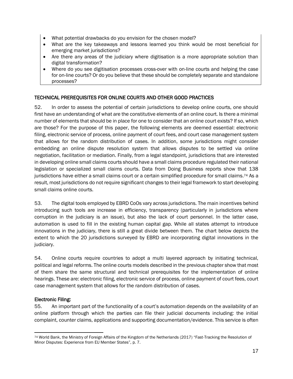- What potential drawbacks do you envision for the chosen model?
- What are the key takeaways and lessons learned you think would be most beneficial for emerging market jurisdictions?
- Are there any areas of the judiciary where digitisation is a more appropriate solution than digital transformation?
- Where do you see digitisation processes cross-over with on-line courts and helping the case for on-line courts? Or do you believe that these should be completely separate and standalone processes?

# <span id="page-18-0"></span>TECHNICAL PREREQUISITES FOR ONLINE COURTS AND OTHER GOOD PRACTICES

52. In order to assess the potential of certain jurisdictions to develop online courts, one should first have an understanding of what are the constitutive elements of an online court. Is there a minimal number of elements that should be in place for one to consider that an online court exists? If so, which are those? For the purpose of this paper, the following elements are deemed essential: electronic filing, electronic service of process, online payment of court fees, and court case management system that allows for the random distribution of cases. In addition, some jurisdictions might consider embedding an online dispute resolution system that allows disputes to be settled via online negotiation, facilitation or mediation. Finally, from a legal standpoint, jurisdictions that are interested in developing online small claims courts should have a small claims procedure regulated their national legislation or specialized small claims courts. Data from Doing Business reports show that 138 jurisdictions have either a small claims court or a certain simplified procedure for small claims.<sup>74</sup> As a result, most jurisdictions do not require significant changes to their legal framework to start developing small claims online courts.

53. The digital tools employed by EBRD CoOs vary across jurisdictions. The main incentives behind introducing such tools are increase in efficiency, transparency (particularly in jurisdictions where corruption in the judiciary is an issue), but also the lack of court personnel. In the latter case, automation is used to fill in the existing human capital gap. While all states attempt to introduce innovations in the judiciary, there is still a great divide between them. The chart below depicts the extent to which the 20 jurisdictions surveyed by EBRD are incorporating digital innovations in the judiciary.

54. Online courts require countries to adopt a multi layered approach by initiating technical, political and legal reforms. The online courts models described in the previous chapter show that most of them share the same structural and technical prerequisites for the implementation of online hearings. These are: electronic filing, electronic service of process, online payment of court fees, court case management system that allows for the random distribution of cases.

# Electronic Filing:

55. An important part of the functionality of a court's automation depends on the availability of an online platform through which the parties can file their judicial documents including: the initial complaint, counter claims, applications and supporting documentation/evidence. This service is often

<sup>74</sup> World Bank, the Ministry of Foreign Affairs of the Kingdom of the Netherlands (2017) "Fast-Tracking the Resolution of Minor Disputes: Experience from EU Member States", p. 7.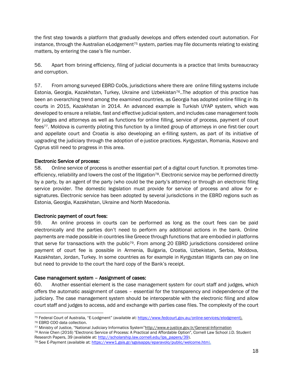the first step towards a platform that gradually develops and offers extended court automation. For instance, through the Australian eLodgement<sup>75</sup> system, parties may file documents relating to existing matters, by entering the case's file number.

56. Apart from brining efficiency, filing of judicial documents is a practice that limits bureaucracy and corruption.

57. From among surveyed EBRD CoOs, jurisdictions where there are online filling systems include Estonia, Georgia, Kazakhstan, Turkey, Ukraine and Uzbekistan76..The adoption of this practice has been an overarching trend among the examined countries, as Georgia has adopted online filling in its courts in 2015, Kazakhstan in 2014. An advanced example is Turkish UYAP system, which was developed to ensure a reliable, fast and effective judicial system, and includes case management tools for judges and attorneys as well as functions for online filling, service of process, payment of court fees77. Moldova is currently piloting this function by a limited group of attorneys in one first-tier court and appellate court and Croatia is also developing an e-filling system, as part of its initiative of upgrading the judiciary through the adoption of e-justice practices. Kyrgyzstan, Romania, Kosovo and Cyprus still need to progress in this area.

#### Electronic Service of process:

58. Online service of process is another essential part of a digital court function. It promotes timeefficiency, reliability and lowers the cost of the litigation<sup>78</sup>. Electronic service may be performed directly by a party, by an agent of the party (who could be the party's attorney) or through an electronic filing service provider. The domestic legislation must provide for service of process and allow for esignatures. Electronic service has been adopted by several jurisdictions in the EBRD regions such as Estonia, Georgia, Kazakhstan, Ukraine and North Macedonia.

#### Electronic payment of court fees:

59. An online process in courts can be performed as long as the court fees can be paid electronically and the parties don't need to perform any additional actions in the bank. Online payments are made possible in countries like Greece through functions that are embodied in platforms that serve for transactions with the public<sup>79</sup>. From among 20 EBRD jurisdictions considered online payment of court fee is possible in Armenia, Bulgaria, Croatia, Uzbekistan, Serbia, Moldova, Kazakhstan, Jordan, Turkey. In some countries as for example in Kyrgyzstan litigants can pay on line but need to provide to the court the hard copy of the Bank's receipt.

#### Case management system – Assignment of cases:

60. Another essential element is the case management system for court staff and judges, which offers the automatic assignment of cases – essential for the transparency and independence of the judiciary. The case management system should be interoperable with the electronic filing and allow court staff and judges to access, add and exchange with parties case files. The complexity of the court

<sup>75</sup> Federal Court of Australia, "E-Lodgment" (available at: [https://www.fedcourt.gov.au/online-services/elodgment\)](https://www.fedcourt.gov.au/online-services/elodgment). <sup>76</sup> EBRD COO data collection.

<sup>77</sup> Ministry of Justice, "National Judiciary Informatics System"<http://www.e-justice.gov.tr/General-Information>

<sup>78</sup> Annie Chen (2016) "Electronic Service of Process: A Practical and Affordable Option", Cornell Law School J.D. Student Research Papers, 39 (available at: [http://scholarship.law.cornell.edu/lps\\_papers/39\)](http://scholarship.law.cornell.edu/lps_papers/39).

<sup>79</sup> See E-Payment (available at[: https://www1.gsis.gr/sgsisapps/eparavolo/public/welcome.htm\)](https://www1.gsis.gr/sgsisapps/eparavolo/public/welcome.htm).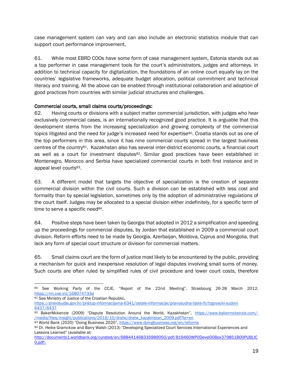case management system can vary and can also include an electronic statistics module that can support court performance improvement,

61. While most EBRD COOs have some form of case management system, Estonia stands out as a top performer in case management tools for the court's administrators, judges and attorneys. In addition to technical capacity for digitalization, the foundations of an online court equally lay on the countries' legislative frameworks, adequate budget allocation, political commitment and technical literacy and training. All the above can be enabled through institutional collaboration and adoption of good practices from countries with similar judicial structures and challenges.

#### Commercial courts, small claims courts/proceedings:

62. Having courts or divisions with a subject matter commercial jurisdiction, with judges who hear exclusively commercial cases, is an internationally recognized good practice. It is arguable that this development stems from the increasing specialization and growing complexity of the commercial topics litigated and the need for judge's increased need for expertise<sup>80</sup>. Croatia stands out as one of the top performers in this area, since it has nine commercial courts spread in the largest business centres of the country81. Kazakhstan also has several inter-district economic courts, a financial court as well as a court for investment disputes<sup>82</sup>. Similar good practices have been established in Montenegro, Morocco and Serbia have specialized commercial courts in both first instance and in appeal level courts<sup>83</sup>.

63. A different model that targets the objective of specialization is the creation of separate commercial division within the civil courts. Such a division can be established with less cost and formality than by special legislation, sometimes only by the adoption of administrative regulations of the court itself. Judges may be allocated to a special division either indefinitely, for a specific term of time to serve a specific need<sup>84</sup>.

64. Positive steps have been taken by Georgia that adopted in 2012 a simplification and speeding up the proceedings for commercial disputes, by Jordan that established in 2009 a commercial court division. Reform efforts need to be made by Georgia, Azerbaijan, Moldova, Cyprus and Mongolia, that lack any form of special court structure or division for commercial matters.

65. Small claims court are the form of justice most likely to be encountered by the public, providing a mechanism for quick and inexpensive resolution of legal disputes involving small sums of money. Such courts are often ruled by simplified rules of civil procedure and lower court costs, therefore

<sup>80</sup> See Working Party of the CCJE, "Report of the 22nd Meeting", Strasbourg 26-28 March 2012[,](https://rm.coe.int/168074733d) <https://rm.coe.int/168074733d>

<sup>81</sup> See Ministry of Justice of the Croatian Republic,

[https://pravosudje.gov.hr/pristup-informacijama-6341/ostale-informacije/pravosudna-tijela-rh/trgovacki-sudovi-](https://pravosudje.gov.hr/pristup-informacijama-6341/ostale-informacije/pravosudna-tijela-rh/trgovacki-sudovi-6437/6437)[6437/6437](https://pravosudje.gov.hr/pristup-informacijama-6341/ostale-informacije/pravosudna-tijela-rh/trgovacki-sudovi-6437/6437)

<sup>82</sup> BakerMckenzie (2009) "Dispute Resolution Around the World, Kazakhstan", [https://www.bakermckenzie.com/-](https://www.bakermckenzie.com/-/media/files/insight/publications/2016/10/dratw/dratw_kazakhstan_2009.pdf?la=en) [/media/files/insight/publications/2016/10/dratw/dratw\\_kazakhstan\\_2009.pdf?la=en](https://www.bakermckenzie.com/-/media/files/insight/publications/2016/10/dratw/dratw_kazakhstan_2009.pdf?la=en)

<sup>83</sup> World Bank (2020) "Doing Business 2020", <https://www.doingbusiness.org/en/reforms>

<sup>84</sup> Dr. Heike Gramckow and Barry Walsh (2013) "Developing Specialized Court Services International Experiences and Lessons Learned" (available at:

[http://documents1.worldbank.org/curated/en/688441468335989050/pdf/819460WP0Devel00Box379851B00PUBLIC](http://documents1.worldbank.org/curated/en/688441468335989050/pdf/819460WP0Devel00Box379851B00PUBLIC0.pdf) [0.pdf\)](http://documents1.worldbank.org/curated/en/688441468335989050/pdf/819460WP0Devel00Box379851B00PUBLIC0.pdf).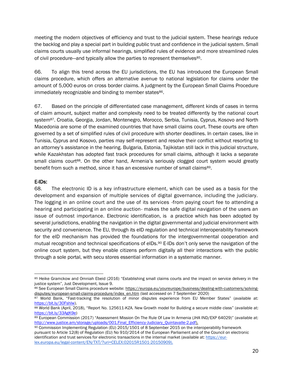meeting the modern objectives of efficiency and trust to the judicial system. These hearings reduce the backlog and play a special part in building public trust and confidence in the judicial system. Small claims courts usually use informal hearings, simplified rules of evidence and more streamlined rules of civil procedure—and typically allow the parties to represent themselves<sup>85</sup>.

66. To align this trend across the EU jurisdictions, the EU has introduced the European Small claims procedure, which offers an alternative avenue to national legislation for claims under the amount of 5,000 euros on cross border claims. A judgment by the European Small Claims Procedure immediately recognizable and binding to member states<sup>86</sup>.

67. Based on the principle of differentiated case management, different kinds of cases in terms of claim amount, subject matter and complexity need to be treated differently by the national court system<sup>87</sup>. Croatia, Georgia, Jordan, Montenegro, Morocco, Serbia, Tunisia, Cyprus, Kosovo and North Macedonia are some of the examined countries that have small claims court. These courts are often governed by a set of simplified rules of civil procedure with shorter deadlines. In certain cases, like in Tunisia, Cyprus and Kosovo, parties may self-represent and resolve their conflict without resorting to an attorney's assistance in the hearing. Bulgaria, Estonia, Tajikistan still lack in this judicial structure, while Kazakhstan has adopted fast track procedures for small claims, although it lacks a separate small claims court<sup>88</sup>. On the other hand, Armenia's seriously clogged court system would greatly benefit from such a method, since it has an excessive number of small claims89.

#### E-IDs:

68. The electronic ID is a key infrastructure element, which can be used as a basis for the development and expansion of multiple services of digital governance, including the judiciary. The logging in an online court and the use of its services -from paying court fee to attending a hearing and participating in an online auction- makes the safe digital navigation of the users an issue of outmost importance. Electronic identification, is a practice which has been adopted by several jurisdictions, enabling the navigation in the digital governmental and judicial environment with security and convenience. The EU, through its eID regulation and technical interoperability framework for the eID mechanism has provided the foundations for the intergovernmental cooperation and mutual recognition and technical specifications of eIDs.<sup>90</sup> E-IDs don't only serve the navigation of the online court system, but they enable citizens perform digitally all their interactions with the public through a sole portal, with secu stores essential information in a systematic manner.

<sup>85</sup> Heike Gramckow and Omniah Ebeid (2016) "Establishing small claims courts and the impact on service delivery in the justice system", Just Development, Issue 9.

<sup>86</sup> See European Small Claims procedure website[:](https://europa.eu/youreurope/business/dealing-with-customers/solving-disputes/european-small-claims-procedure/index_en.htm) [https://europa.eu/youreurope/business/dealing-with-customers/solving](https://europa.eu/youreurope/business/dealing-with-customers/solving-disputes/european-small-claims-procedure/index_en.htm)[disputes/european-small-claims-procedure/index\\_en.htm](https://europa.eu/youreurope/business/dealing-with-customers/solving-disputes/european-small-claims-procedure/index_en.htm) (last accessed on 7 September 2020)

<sup>87</sup> World Bank, "Fast-tracking the resolution of minor disputes experience from EU Member States" (available at: [https://bit.ly/30Fshlw\)](https://bit.ly/30Fshlw).

<sup>88</sup> World Bank (April, 2018), "Report No. 125611-KZA. New Growth model for Building a secure middle class" (available at: [https://bit.ly/33AgK9e\)](https://bit.ly/33AgK9e)

<sup>89</sup> European Commission (2017) "Assessment Mission On The Rule Of Law In Armenia (JHA IND/EXP 64029)" (available at: [http://www.justice.am/storage/uploads/001.Final\\_Efficiency-Judiciary\\_Quintavalle-2.pdf\)](http://www.justice.am/storage/uploads/001.Final_Efficiency-Judiciary_Quintavalle-2.pdf).

<sup>90</sup> Commission Implementing Regulation (EU) 2015/1501 of 8 September 2015 on the interoperability framework pursuant to Article 12(8) of Regulation (EU) No 910/2014 of the European Parliament and of the Council on electronic identification and trust services for electronic transactions in the internal market (available at: [https://eur](https://eur-lex.europa.eu/legal-content/EN/TXT/?uri=CELEX:02015R1501-20150909)[lex.europa.eu/legal-content/EN/TXT/?uri=CELEX:02015R1501-20150909\)](https://eur-lex.europa.eu/legal-content/EN/TXT/?uri=CELEX:02015R1501-20150909).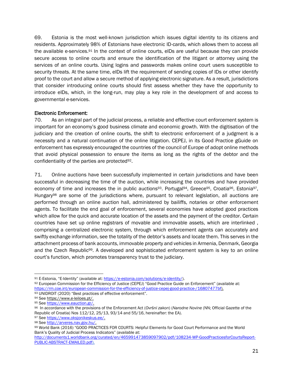69. Estonia is the most well-known jurisdiction which issues digital identity to its citizens and residents. Approximately 98% of Estonians have electronic ID-cards, which allows them to access all the available e-services.<sup>91</sup> In the context of online courts, eIDs are useful because they can provide secure access to online courts and ensure the identification of the litigant or attorney using the services of an online courts. Using logins and passwords makes online court users susceptible to security threats. At the same time, eIDs lift the requirement of sending copies of IDs or other identify proof to the court and allow a secure method of applying electronic signature. As a result, jurisdictions that consider introducing online courts should first assess whether they have the opportunity to introduce eIDs, which, in the long-run, may play a key role in the development of and access to governmental e-services.

#### Electronic Enforcement:

70. As an integral part of the judicial process, a reliable and effective court enforcement system is important for an economy's good business climate and economic growth. With the digitisation of the judiciary and the creation of online courts, the shift to electronic enforcement of a judgment is a necessity and a natural continuation of the online litigation. CEPEJ, in its Good Practice gGuide on enforcement has expressly encouraged the countries of the council of Europe of adopt online methods that avoid physical possession to ensure the items as long as the rights of the debtor and the confidentiality of the parties are protected92.

71. Online auctions have been successfully implemented in certain jurisdictions and have been successful in decreasing the time of the auction, while increasing the countries and have provided economy of time and increases the in public auctions<sup>93</sup>. Portugal<sup>94</sup>, Greece<sup>95</sup>, Croatia<sup>96</sup>, Estonia<sup>97</sup>, Hungar $y^{98}$  are some of the jurisdictions where, pursuant to relevant legislation, all auctions are performed through an online auction hall, administered by bailiffs, notaries or other enforcement agents. To facilitate the end goal of enforcement, several economies have adopted good practices which allow for the quick and accurate location of the assets and the payment of the creditor. Certain countries have set up online registrars of movable and immovable assets, which are interlinked , comprising a centralized electronic system, through which enforcement agents can accurately and swiftly exchange information, see the totality of the debtor's assets and locate them. This serves in the attachment process of bank accounts, immovable property and vehicles in Armenia, Denmark, Georgia and the Czech Republic99. A developed and sophisticated enforcement system is key to an online court's function, which promotes transparency trust to the judiciary.

<sup>93</sup> UNIDROIT (2020) "Best practices of effective enforcement".

<sup>91</sup> E-Estonia, "E-Identity" (available at: [https://e-estonia.com/solutions/e-identity/\).](https://e-estonia.com/solutions/e-identity/)

<sup>92</sup> European Commission for the Efficiency of Justice (CEPEJ) "Good Practice Guide on Enforcement" (available at: [https://rm.coe.int/european-commission-for-the-efficiency-of-justice-cepej-good-practice-/16807477bf\)](https://rm.coe.int/european-commission-for-the-efficiency-of-justice-cepej-good-practice-/16807477bf).

<sup>94</sup> See [https://www.e-leiloes.pt/.](https://www.e-leiloes.pt/) 

<sup>95</sup> See [https://www.eauction.gr/.](https://www.eauction.gr/)

<sup>96</sup> In accordance with the provisions of the Enforcement Act (*Ovršni zakon*) (*Narodne Novine* (NN; Official Gazette of the Republic of Croatia) Nos 112/12, 25/13, 93/14 and 55/16, hereinafter: the EA).

<sup>97</sup> See [https://www.oksjonikeskus.ee/.](https://www.oksjonikeskus.ee/)

<sup>98</sup> See [http://arveres.nav.gov.hu/.](http://arveres.nav.gov.hu/)

<sup>99</sup> World Bank (2016) "GOOD PRACTICES FOR COURTS: Helpful Elements for Good Court Performance and the World Bank's Quality of Judicial Process Indicators" (available at:

[http://documents1.worldbank.org/curated/en/465991473859097902/pdf/108234-WP-GoodPracticesforCourtsReport-](http://documents1.worldbank.org/curated/en/465991473859097902/pdf/108234-WP-GoodPracticesforCourtsReport-PUBLIC-ABSTRACT-EMAILED.pdf)[PUBLIC-ABSTRACT-EMAILED.pdf\)](http://documents1.worldbank.org/curated/en/465991473859097902/pdf/108234-WP-GoodPracticesforCourtsReport-PUBLIC-ABSTRACT-EMAILED.pdf).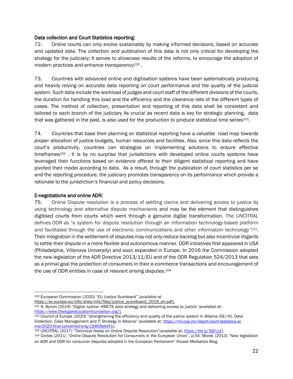#### Data collection and Court Statistics reporting:

72. Online courts can only evolve sustainably by making informed decisions, based on accurate and updated data. The collection and publication of this data is not only critical for developing the strategy for the judiciary; It serves to showcase results of the reforms, to encourage the adoption of modern practices and enhance transparency<sup>100</sup>.

73. Countries with advanced online and digitisation systems have been systematically producing and heavily relying on accurate data reporting on court performance and the quality of the judicial system. Such data include the workload of judges and court staff of the different divisions of the courts, the duration for handling this load and the efficiency and the clearance rate of the different types of cases. The method of collection, presentation and reporting of this data shall be consistent and tailored to each branch of the judiciary As crucial as recent data is key for strategic planning, data that was gathered in the past, is also used for the production to produce statistical time series $101$ .

74. Countries that base their planning on statistical reporting have a valuable road map towards proper allocation of justice budgets, human resources and facilities. Also, since this data reflects the court's productivity, countries can strategize on implementing solutions to ensure effective timeframes $102$ . It is by no surprise that jurisdictions with developed online courts systems have leveraged their functions based on evidence offered to their diligent statistical reporting and have pivoted their model according to data. As a result, through the publication of court statistics per se and the reporting procedure, the judiciary promotes transparency on its performance which provide a rationale to the jurisdiction's financial and policy decisions.

#### E-negotiations and online ADR:

75. Online Dispute resolution is a process of settling claims and delivering access to justice by using technology and alternative dispute mechanisms and may be the element that distinguishes digitised courts from courts which went through a genuine digital transformation. The UNCITRAL defines ODR as *"*a system for dispute resolution through an information technology-based platform and facilitated through the use of electronic communications and other information technology*" <sup>103</sup>*. Their integration in the settlement of disputes may not only reduce backlog but also incentivize litigants to settle their dispute in a more flexible and autonomous manner. ODR initiatives first appeared in USA (Philadelphia, Villanova University) and soon expanded in Europe. In 2016 the Commission adopted the new legislation of the ADR Directive 2013/11/EU and of the ODR Regulation 524/2013 that sets as a primal goal the protection of consumers in their e-commerce transactions and encouragement of the use of ODR entities in case of relevant arising disputes.<sup>104</sup>

[https://ec.europa.eu/info/sites/info/files/justice\\_scoreboard\\_2019\\_en.pdf\)](https://ec.europa.eu/info/sites/info/files/justice_scoreboard_2019_en.pdf).

<sup>100</sup> European Commission (2020) "EU Justice Scorboard" (available at

<sup>101</sup> N. Byrom (2019) "Digital Justice: HMCTS data strategy and delivering access to justice" (availabel at: [https://www.thelegaleducationfoundation.org/\)](https://www.thelegaleducationfoundation.org/).

<sup>102</sup> Council of Europe (2020) "strengthening the efficiency and quality of the justice system in Albania (SEJ III). Data Collection, Case Management and IT Strategy in Albania" (available at: [https://rm.coe.int/report-court-statistics-al](https://rm.coe.int/report-court-statistics-al-mar2020-final-converted-eng/16809ebf41)[mar2020-final-converted-eng/16809ebf41\)](https://rm.coe.int/report-court-statistics-al-mar2020-final-converted-eng/16809ebf41).

<sup>103</sup> UNCITRAL (2017) "Technical Notes on Online Dispute Resolution"(available at: [https://bit.ly/3ljFLLE\)](https://bit.ly/3ljFLLE).

<sup>104</sup> Cortes (2011) "Online Dispute Resolution for Consumers in the European Union", p.54; Morek (2013) "New legislation on ADR and ODR for consumer disputes adopted in the European Parliament" Kluwer Mediation Blog.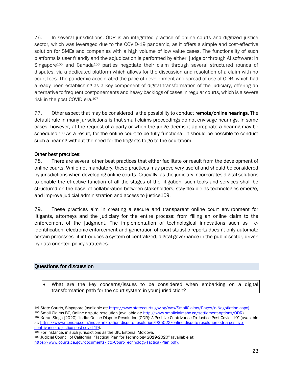76. In several jurisdictions, ODR is an integrated practice of online courts and digitized justice sector, which was leveraged due to the COVID-19 pandemic, as it offers a simple and cost-effective solution for SMEs and companies with a high volume of low value cases. The functionality of such platforms is user friendly and the adjudication is performed by either judge or through AI software; in Singapore<sup>105</sup> and Canada<sup>106</sup> parties negotiate their claim through several structured rounds of disputes, via a dedicated platform which allows for the discussion and resolution of a claim with no court fees. The pandemic accelerated the pace of development and spread of use of ODR, which had already been establishing as a key component of digital transformation of the judiciary, offering an alternative to frequent postponements and heavy backlogs of cases in regular courts, which is a severe risk in the post COVID era.<sup>107</sup>

77. Other aspect that may be considered is the possibility to conduct remote/online hearings. The default rule in many jurisdictions is that small claims proceedings do not envisage hearings. In some cases, however, at the request of a party or when the judge deems it appropriate a hearing may be scheduled.<sup>108</sup> As a result, for the online court to be fully functional, it should be possible to conduct such a hearing without the need for the litigants to go to the courtroom.

#### Other best practices:

78. There are several other best practices that either facilitate or result from the development of online courts. While not mandatory, these practices may prove very useful and should be considered by jurisdictions when developing online courts. Crucially, as the judiciary incorporates digital solutions to enable the effective function of all the stages of the litigation, such tools and services shall be structured on the basis of collaboration between stakeholders, stay flexible as technologies emerge, and improve judicial administration and access to justice109.

79. These practices aim in creating a secure and transparent online court environment for litigants, attorneys and the judiciary for the entire process: from filling an online claim to the enforcement of the judgment. The implementation of technological innovations such as eidentification, electronic enforcement and generation of court statistic reports doesn't only automate certain processes–it introduces a system of centralized, digital governance in the public sector, driven by data oriented policy strategies.

# <span id="page-24-0"></span>Questions for discussion

What are the key concerns/issues to be considered when embarking on a digital transformation path for the court system in your jurisdiction?

<sup>108</sup> For instance, in such jurisdictions as the UK, Estonia, Moldova.

<sup>109</sup> Judicial Council of California, "Tactical Plan for Technology 2019-2020" (available at: [https://www.courts.ca.gov/documents/jctc-Court-Technology-Tactical-Plan.pdf\)](https://www.courts.ca.gov/documents/jctc-Court-Technology-Tactical-Plan.pdf).

<sup>105</sup> State Courts, Singapore (available at: [https://www.statecourts.gov.sg/cws/SmallClaims/Pages/e-Negotiation.aspx\)](https://www.statecourts.gov.sg/cws/SmallClaims/Pages/e-Negotiation.aspx)

<sup>106</sup> Small Claims BC, Online dispute resolution (available at[: http://www.smallclaimsbc.ca/settlement-options/ODR\)](http://www.smallclaimsbc.ca/settlement-options/ODR)

<sup>107</sup> Karan Singh (2020) "India: Online Dispute Resolution (ODR): A Positive Contrivance To Justice Post Covid- 19" (available at: [https://www.mondaq.com/india/arbitration-dispute-resolution/935022/online-dispute-resolution-odr-a-positive](https://www.mondaq.com/india/arbitration-dispute-resolution/935022/online-dispute-resolution-odr-a-positive-contrivance-to-justice-post-covid-19)[contrivance-to-justice-post-covid-19\)](https://www.mondaq.com/india/arbitration-dispute-resolution/935022/online-dispute-resolution-odr-a-positive-contrivance-to-justice-post-covid-19).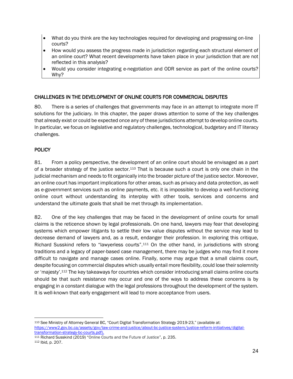- What do you think are the key technologies required for developing and progressing on-line courts?
- How would you assess the progress made in jurisdiction regarding each structural element of an online court? What recent developments have taken place in your jurisdiction that are not reflected in this analysis?
- Would you consider integrating e-negotiation and ODR service as part of the online courts? Wh<sub>v</sub>?

# <span id="page-25-0"></span>CHALLENGES IN THE DEVELOPMENT OF ONLINE COURTS FOR COMMERCIAL DISPUTES

80. There is a series of challenges that governments may face in an attempt to integrate more IT solutions for the judiciary. In this chapter, the paper draws attention to some of the key challenges that already exist or could be expected once any of these jurisdictions attempt to develop online courts. In particular, we focus on legislative and regulatory challenges, technological, budgetary and IT literacy challenges.

#### <span id="page-25-1"></span>**POLICY**

81. From a policy perspective, the development of an online court should be envisaged as a part of a broader strategy of the justice sector.<sup>110</sup> That is because such a court is only one chain in the judicial mechanism and needs to fit organically into the broader picture of the justice sector. Moreover, an online court has important implications for other areas, such as privacy and data protection, as well as e-government services such as online payments, etc. it is impossible to develop a well-functioning online court without understanding its interplay with other tools, services and concerns and understand the ultimate goals that shall be met through its implementation.

82. One of the key challenges that may be faced in the development of online courts for small claims is the reticence shown by legal professionals. On one hand, lawyers may fear that developing systems which empower litigants to settle their low value disputes without the service may lead to decrease demand of lawyers and, as a result, endanger their profession. In exploring this critique, Richard Susskind refers to "lawyerless courts".<sup>111</sup> On the other hand, in jurisdictions with strong traditions and a legacy of paper-based case management, there may be judges who may find it more difficult to navigate and manage cases online. Finally, some may argue that a small claims court, despite focusing on commercial disputes which usually entail more flexibility, could lose their solemnity or 'majesty'.<sup>112</sup> The key takeaways for countries which consider introducing small claims online courts should be that such resistance may occur and one of the ways to address these concerns is by engaging in a constant dialogue with the legal professions throughout the development of the system. It is well-known that early engagement will lead to more acceptance from users.

<sup>111</sup> Richard Susskind (2019) "Online Courts and the Future of Justice", p. 235. <sup>112</sup> Ibid, p. 207.

<sup>110</sup> See Ministry of Attorney General BC, "Court Digital Transformation Strategy 2019-23," (available at: [https://www2.gov.bc.ca/assets/gov/law-crime-and-justice/about-bc-justice-system/justice-reform-initiatives/digital](https://www2.gov.bc.ca/assets/gov/law-crime-and-justice/about-bc-justice-system/justice-reform-initiatives/digital-transformation-strategy-bc-courts.pdf)[transformation-strategy-bc-courts.pdf\)](https://www2.gov.bc.ca/assets/gov/law-crime-and-justice/about-bc-justice-system/justice-reform-initiatives/digital-transformation-strategy-bc-courts.pdf).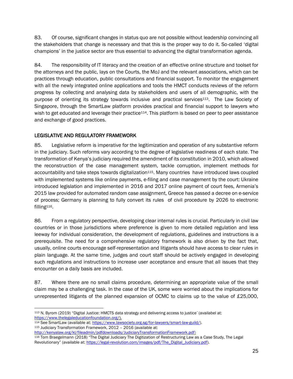83. Of course, significant changes in status quo are not possible without leadership convincing all the stakeholders that change is necessary and that this is the proper way to do it. So-called 'digital champions' in the justice sector are thus essential to advancing the digital transformation agenda.

84. The responsibility of IT literacy and the creation of an effective online structure and toolset for the attorneys and the public, lays on the Courts, the MoJ and the relevant associations, which can be practices through education, public consultations and financial support. To monitor the engagement with all the newly integrated online applications and tools the HMCT conducts reviews of the reform progress by collecting and analysing data by stakeholders and users of all demographic, with the purpose of orienting its strategy towards inclusive and practical services<sup>113</sup>. The Law Society of Singapore, through the SmartLaw platform provides practical and financial support to lawyers who wish to get educated and leverage their practice<sup>114</sup>. This platform is based on peer to peer assistance and exchange of good practices.

# <span id="page-26-0"></span>LEGISLATIVE AND REGULATORY FRAMEWORK

85. Legislative reform is imperative for the legitimization and operation of any substantive reform in the judiciary. Such reforms vary according to the degree of legislative readiness of each state. The transformation of Kenya's judiciary required the amendment of its constitution in 2010, which allowed the reconstruction of the case management system, tackle corruption, implement methods for accountability and take steps towards digitalization<sup>115</sup>. Many countries have introduced laws coupled with implemented systems like online payments, e-filing and case management by the court: Ukraine introduced legislation and implemented in 2016 and 2017 online payment of court fees, Armenia's 2015 law provided for automated random case assignment, Greece has passed a decree on e-service of process; Germany is planning to fully convert its rules of civil procedure by 2026 to electronic filling116.

86. From a regulatory perspective, developing clear internal rules is crucial. Particularly in civil law countries or in those jurisdictions where preference is given to more detailed regulation and less leeway for individual consideration, the development of regulations, guidelines and instructions is a prerequisite. The need for a comprehensive regulatory framework is also driven by the fact that, usually, online courts encourage self-representation and litigants should have access to clear rules in plain language. At the same time, judges and court staff should be actively engaged in developing such regulations and instructions to increase user acceptance and ensure that all issues that they encounter on a daily basis are included.

87. Where there are no small claims procedure, determining an appropriate value of the small claim may be a challenging task. In the case of the UK, some were worried about the implications for unrepresented litigants of the planned expansion of OCMC to claims up to the value of £25,000,

- 114 See SmartLaw (available at: [https://www.lawsociety.org.sg/for-lawyers/smart-law-guild/\)](https://www.lawsociety.org.sg/for-lawyers/smart-law-guild/).
- <sup>115</sup> Judiciary Transformation Framework, 2012 2016 (available at:
- [http://kenyalaw.org/kl/fileadmin/pdfdownloads/JudiciaryTransformationFramework.pdf\)](http://kenyalaw.org/kl/fileadmin/pdfdownloads/JudiciaryTransformationFramework.pdf)

<sup>113</sup> N. Byrom (2019) "Digital Justice: HMCTS data strategy and delivering access to justice" (availabel at: [https://www.thelegaleducationfoundation.org/\)](https://www.thelegaleducationfoundation.org/).

<sup>116</sup> Tom Braegelmann (2018) "The Digital Judiciary The Digitization of Restructuring Law as a Case Study, The Legal Revolutionary" (available at: [https://legal-revolution.com/images/pdf/The\\_Digital\\_Judiciary.pdf\)](https://legal-revolution.com/images/pdf/The_Digital_Judiciary.pdf).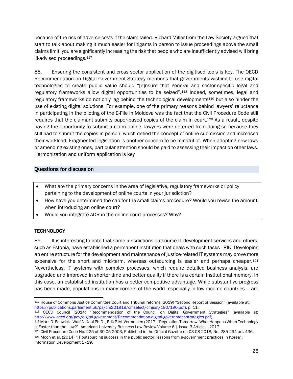because of the risk of adverse costs if the claim failed. Richard Miller from the Law Society argued that start to talk about making it much easier for litigants in person to issue proceedings above the small claims limit, you are significantly increasing the risk that people who are insufficiently advised will bring ill-advised proceedings.<sup>117</sup>

88. Ensuring the consistent and cross sector application of the digitised tools is key. The OECD Recommendation on Digital Government Strategy mentions that governments wishing to use digital technologies to create public value should "[e]nsure that general and sector-specific legal and regulatory frameworks allow digital opportunities to be seized".<sup>118</sup> Indeed, sometimes, legal and regulatory frameworks do not only lag behind the technological developments<sup>119</sup> but also hinder the use of existing digital solutions. For example, one of the primary reasons behind lawyers' reluctance in participating in the piloting of the E-File in Moldova was the fact that the Civil Procedure Code still requires that the claimant submits paper-based copies of the claim in court.<sup>120</sup> As a result, despite having the opportunity to submit a claim online, lawyers were deterred from doing so because they still had to submit the copies in person, which defied the concept of online submission and increased their workload. Fragmented legislation is another concern to be mindful of. When adopting new laws or amending existing ones, particular attention should be paid to assessing their impact on other laws. Harmonization and uniform application is key

# <span id="page-27-0"></span>Questions for discussion

- What are the primary concerns in the area of legislative, regulatory frameworks or policy pertaining to the development of online courts in your jurisdiction?
- How have you determined the cap for the small claims procedure? Would you revise the amount when introducing an online court?
- Would you integrate ADR in the online court processes? Why?

# <span id="page-27-1"></span>**TECHNOLOGY**

89. It is interesting to note that some jurisdictions outsource IT development services and others, such as Estonia, have established a permanent institution that deals with such tasks - RIK. Developing an entire structure for the development and maintenance of justice-related IT systems may prove more expensive for the short and mid-term, whereas outsourcing is easier and perhaps cheaper.<sup>121</sup> Nevertheless, IT systems with complex processes, which require detailed business analysis, are upgraded and improved in shorter time and better quality if there is a certain institutional memory. In this case, an established institution has a better competitive advantage. While substantive progress has been made, populations in many corners of the world -especially in low income countries - are

<sup>117</sup> House of Commons Justice Committee Court and Tribunal reforms (2019) "Second Report of Session" (available at: [https://publications.parliament.uk/pa/cm201919/cmselect/cmjust/190/190.pdf\)](https://publications.parliament.uk/pa/cm201919/cmselect/cmjust/190/190.pdf), p. 11;

<sup>118</sup> OECD Council (2014) "Recommendation of the Council on Digital Government Strategies" (available at: [http://www.oecd.org/gov/digital-government/Recommendation-digital-government-strategies.pdf\)](http://www.oecd.org/gov/digital-government/Recommendation-digital-government-strategies.pdf).

<sup>119</sup> Mark D. Fenwick , Wulf A. Kaal Ph.D. , Erik P.M. Vermeulen (2017) "Regulation Tomorrow: What Happens When Technology Is Faster than the Law?", American University Business Law Review Volume 6 | Issue 3 Article 1 2017.

<sup>120</sup> Civil Procedure Code No. 225 of 30-05-2003, Published in the Official Gazette on 03-08-2018, No. 285-294 art. 436. <sup>121</sup> Moon et al. (2014) "IT outsourcing success in the public sector: lessons from e-government practices in Korea", Information Development 1–19.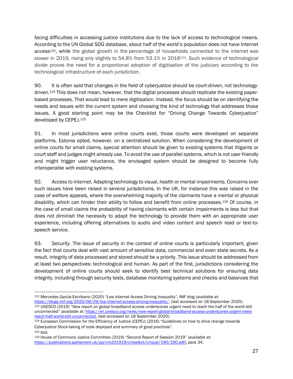facing difficulties in accessing justice institutions due to the lack of access to technological means. According to the UN Global SDG database, about half of the world's population does not have Internet access<sup>122</sup>, while the global growth in the percentage of households connected to the internet was slower in 2019, rising only slightly to 54.8% from 53.1% in 2018<sup>123</sup>. Such evidence of technological divide proves the need for a proportional adoption of digitisation of the judiciary according to the technological infrastructure of each jurisdiction.

90. It is often said that changes in the field of cyberjustice should be court-driven, not technologydriven.<sup>124</sup> This does not mean, however, that the digital processes should replicate the existing paperbased processes. That would lead to mere digitisation. Instead, the focus should be on identifying the needs and issues with the current system and choosing the kind of technology that addresses those issues. A good starting point may be the Checklist for "Driving Change Towards Cyberjustice" developed by CEPEJ.<sup>125</sup>

91. In most jurisdictions were online courts exist, those courts were developed on separate platforms. Estonia opted, however, on a centralized solution. When considering the development of online courts for small claims, special attention should be given to existing systems that litigants or court staff and judges might already use. To avoid the use of parallel systems, which is not user-friendly and might trigger user reluctance, the envisaged system should be designed to become fully interoperable with existing systems.

92. *Access to internet.* Adapting technology to visual, health or mental impairments. Concerns over such issues have been raised in several jurisdictions. In the UK, for instance this was raised in the case of welfare appeals, where the overwhelming majority of the claimants have a mental or physical disability, which can hinder their ability to follow and benefit from online processes.<sup>126</sup> Of course, in the case of small claims the probability of having claimants with certain impairments is less but that does not diminish the necessity to adapt the technology to provide them with an appropriate user experience, including offering alternatives to audio and video content and speech read or text-tospeech service.

93. *Security.* The issue of security in the context of online courts is particularly important, given the fact that courts deal with vast amount of sensitive data, commercial and even state secrets. As a result, integrity of data processed and stored should be a priority. This issue should be addressed from at least two perspectives: technological and human. As part of the first, jurisdictions considering the development of online courts should seek to identify best technical solutions for ensuring data integrity, including through security tests, database monitoring systems and checks and balances that

<sup>122</sup> Mercedes García-Escribano (2020) "Low Internet Access Driving Inequality", IMF blog (available at: [https://blogs.imf.org/2020/06/29/low-internet-access-driving-inequality/,](https://blogs.imf.org/2020/06/29/low-internet-access-driving-inequality/) (last accessed on 18 September 2020). 123 UNESCO (2019) "New report on global broadband access underscores urgent need to reach the half of the world still unconnected" (available at: [https://en.unesco.org/news/new-report-global-broadband-access-underscores-urgent-need](https://en.unesco.org/news/new-report-global-broadband-access-underscores-urgent-need-reach-half-world-still-unconnected)[reach-half-world-still-unconnected,](https://en.unesco.org/news/new-report-global-broadband-access-underscores-urgent-need-reach-half-world-still-unconnected) (last accessed on 18 September 2020).

<sup>124</sup> European Commission for the Efficiency of Justice (CEPEJ) (2016) "Guidelines on how to drive change towards Cyberjustice Stock-taking of tools deployed and summary of good practices". <sup>125</sup> Ibid.

<sup>126</sup> House of Commons Justice Committee (2019) "Second Report of Session 2019" (available at: [https://publications.parliament.uk/pa/cm201919/cmselect/cmjust/190/190.pdf\)](https://publications.parliament.uk/pa/cm201919/cmselect/cmjust/190/190.pdf), para 34.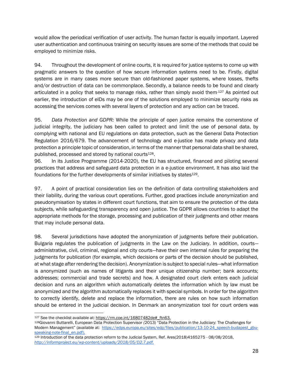would allow the periodical verification of user activity. The human factor is equally important. Layered user authentication and continuous training on security issues are some of the methods that could be employed to minimize risks.

94. Throughout the development of online courts, it is required for justice systems to come up with pragmatic answers to the question of how secure information systems need to be. Firstly, digital systems are in many cases more secure than old-fashioned paper systems, where losses, thefts and/or destruction of data can be commonplace. Secondly, a balance needs to be found and clearly articulated in a policy that seeks to manage risks, rather than simply avoid them.127 As pointed out earlier, the introduction of eIDs may be one of the solutions employed to minimize security risks as accessing the services comes with several layers of protection and any action can be traced.

95. *Data Protection and GDPR:* While the principle of open justice remains the cornerstone of judicial integrity, the judiciary has been called to protect and limit the use of personal data, by complying with national and EU regulations on data protection, such as the General Data Protection Regulation 2016/679. The advancement of technology and e-justice has made privacy and data protection a principle topic of consideration, in terms of the manner that personal data shall be shared, published, processed and stored by national courts<sup>128</sup>.

96. In its Justice Programme (2014-2020), the EU has structured, financed and piloting several practices that address and safeguard data protection in a e-justice environment. It has also laid the foundations for the further developments of similar initiatives by states<sup>129</sup>.

97. A point of practical consideration lies on the definition of data controlling stakeholders and their liability, during the various court operations. Further, good practices include anonymization and pseudonymisation by states in different court functions, that aim to ensure the protection of the data subjects, while safeguarding transparency and open justice. The GDPR allows countries to adapt the appropriate methods for the storage, processing and publication of their judgments and other means that may include personal data.

98. Several jurisdictions have adopted the anonymization of judgments before their publication. Bulgaria regulates the publication of judgments in the Law on the Judiciary. In addition, courts administrative, civil, criminal, regional and city courts—have their own internal rules for preparing the judgments for publication (for example, which decisions or parts of the decision should be published, at what stage after rendering the decision). Anonymization is subject to special rules—what information is anonymized (such as names of litigants and their unique citizenship number; bank accounts; addresses; commercial and trade secrets) and how. A designated court clerk enters each judicial decision and runs an algorithm which automatically deletes the information which by law must be anonymized and the algorithm automatically replaces it with special symbols. In order for the algorithm to correctly identify, delete and replace the information, there are rules on how such information should be entered in the judicial decision. In Denmark an anonymization tool for court orders was

<sup>127</sup> See the checklist available at: [https://rm.coe.int/16807482de#\\_ftn63.](https://rm.coe.int/16807482de#_ftn63) 

<sup>128</sup>Giovanni Buttarelli, European Data Protection Supervisor *(*2013) "Data Protection in the Judiciary: The Challenges for Modern Management" (available at: [https://edps.europa.eu/sites/edp/files/publication/13-10-24\\_speech-budapest\\_gbu](https://edps.europa.eu/sites/edp/files/publication/13-10-24_speech-budapest_gbu-speaking-note-final_en.pdf)[speaking-note-final\\_en.pdf\)](https://edps.europa.eu/sites/edp/files/publication/13-10-24_speech-budapest_gbu-speaking-note-final_en.pdf).

<sup>129</sup> Introduction of the data protection reform to the Judicial System, Ref. Ares(2018)4165275 - 08/08/2018, *[http://informproject.eu/wp-content/uploads/2018/05/D2.7.pdf.](http://informproject.eu/wp-content/uploads/2018/05/D2.7.pdf)*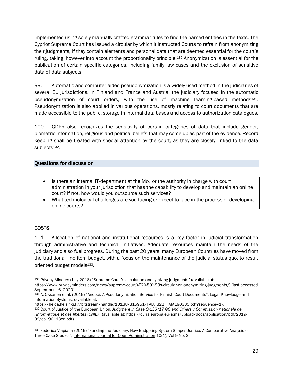implemented using solely manually crafted grammar rules to find the named entities in the texts. The Cypriot Supreme Court has issued a circular by which it instructed Courts to refrain from anonymizing their judgments, if they contain elements and personal data that are deemed essential for the court's ruling, taking, however into account the proportionality principle.<sup>130</sup> Anonymization is essential for the publication of certain specific categories, including family law cases and the exclusion of sensitive data of data subjects.

99. Automatic and computer-aided pseudonymization is a widely used method in the judiciaries of several EU jurisdictions. In Finland and France and Austria, the judiciary focused in the automatic pseudonymization of court orders, with the use of machine learning-based methods<sup>131</sup>. Pseudonymization is also applied in various operations, mostly relating to court documents that are made accessible to the public, storage in internal data bases and access to authorization catalogues.

100. GDPR also recognizes the sensitivity of certain categories of data that include gender, biometric information, religious and political beliefs that may come up as part of the evidence. Record keeping shall be treated with special attention by the court, as they are closely linked to the data subjects<sup>132</sup>.

#### <span id="page-30-0"></span>Questions for discussion

- Is there an internal IT-department at the MoJ or the authority in charge with court administration in your jurisdiction that has the capability to develop and maintain an online court? If not, how would you outsource such services?
- What technological challenges are you facing or expect to face in the process of developing online courts?

#### <span id="page-30-1"></span>COSTS

101. Allocation of national and institutional resources is a key factor in judicial transformation through administrative and technical initiatives. Adequate resources maintain the needs of the judiciary and also fuel progress. During the past 20 years, many European Countries have moved from the traditional line item budget, with a focus on the maintenance of the judicial status quo, to result oriented budget models<sup>133</sup>.

<sup>130</sup> Privacy Minders (July 2018) "Supreme Court's circular on anonymizing judgments" (available at:

[https://www.privacyminders.com/news/supreme-court%E2%80%99s-circular-on-anonymizing-judgments/\)](https://www.privacyminders.com/news/supreme-court%E2%80%99s-circular-on-anonymizing-judgments/) (last accessed September 16, 2020).

<sup>131</sup> A. Oksanen et al. (2019) "Anoppi: A Pseudonymization Service for Finnish Court Documents", Legal Knowledge and Information Systems, (available at[:](https://helda.helsinki.fi/bitstream/handle/10138/315951/FAIA_322_FAIA190335.pdf?sequence=1) 

[https://helda.helsinki.fi//bitstream/handle/10138/315951/FAIA\\_322\\_FAIA190335.pdf?sequence=1\)](https://helda.helsinki.fi/bitstream/handle/10138/315951/FAIA_322_FAIA190335.pdf?sequence=1).

<sup>132</sup> Court of Justice of the European Union, *Judgment in Case C-136/17 GC and Others v Commission nationale de l'informatique et des libertés (CNIL),* (available at[: https://curia.europa.eu/jcms/upload/docs/application/pdf/2019-](https://curia.europa.eu/jcms/upload/docs/application/pdf/2019-09/cp190113en.pdf) [09/cp190113en.pdf\)](https://curia.europa.eu/jcms/upload/docs/application/pdf/2019-09/cp190113en.pdf).

<sup>133</sup> Federica Viapiana (2019) "Funding the Judiciary: How Budgeting System Shapes Justice. A Comparative Analysis of Three Case Studies", International Journal for Court [Administration](https://www.researchgate.net/journal/2156-7964_International_Journal_for_Court_Administration) 10(1), Vol 9 No. 3.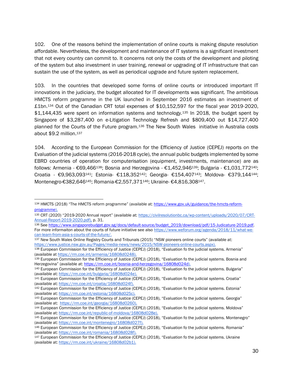102. One of the reasons behind the implementation of online courts is making dispute resolution affordable. Nevertheless, the development and maintenance of IT systems is a significant investment that not every country can commit to. It concerns not only the costs of the development and piloting of the system but also investment in user training, renewal or upgrading of IT infrastructure that can sustain the use of the system, as well as periodical upgrade and future system replacement.

103. In the countries that developed some forms of online courts or introduced important IT innovations in the judiciary, the budget allocated for IT developments was significant. The ambitious HMCTS reform programme in the UK launched in September 2016 estimates an investment of £1bn.<sup>134</sup> Out of the Canadian CRT total expenses of \$10,152,597 for the fiscal year 2019-2020, \$1,144,435 were spent on information systems and technology.<sup>135</sup> In 2018, the budget spent by Singapore of \$3,287,400 on e-Litigation Technology Refresh and \$809,400 out \$14,727,400 planned for the Courts of the Future program.<sup>136</sup> The New South Wales initiative in Australia costs about \$9.2 million.<sup>137</sup>

104. According to the European Commission for the Efficiency of Justice (CEPEJ) reports on the Evaluation of the judicial systems (2016-2018 cycle), the annual public budgets implemented by some EBRD countries of operation for computerisation (equipment, investments, maintenance) are as follows: Armenia - €69,466<sup>138</sup>; Bosnia and Herzegovina - €1,452,946<sup>139</sup>; Bulgaria - €1,031,772<sup>140</sup>; Croatia - €9,963,093141; Estonia- €118,352142; Georgia- €154,407143; Moldova- €379,144144; Montenegro-€382,646145; Romania-€2,557,371146; Ukraine- €4,816,308147.

<sup>144</sup> European Commission for the Efficiency of Justice (CEPEJ) (2018), "Evaluation fo the judicial systems. Moldova" (available at: [https://rm.coe.int/republic-of-moldova/16808d028e\)](https://rm.coe.int/republic-of-moldova/16808d028e).

<sup>134</sup> HMCTS (2018) "The HMCTS reform programme" (available at: [https://www.gov.uk/guidance/the-hmcts-reform](https://www.gov.uk/guidance/the-hmcts-reform-programme)[programme\)](https://www.gov.uk/guidance/the-hmcts-reform-programme).

<sup>135</sup> CRT (2020) "2019-2020 Annual report" (available at: [https://civilresolutionbc.ca/wp-content/uploads/2020/07/CRT-](https://civilresolutionbc.ca/wp-content/uploads/2020/07/CRT-Annual-Report-2019-2020.pdf)[Annual-Report-2019-2020.pdf\),](https://civilresolutionbc.ca/wp-content/uploads/2020/07/CRT-Annual-Report-2019-2020.pdf) p. 31.

<sup>136</sup> Se[e https://www.singaporebudget.gov.sg/docs/default-source/budget\\_2019/download/pdf/15-Judicature-2019.pdf.](https://www.singaporebudget.gov.sg/docs/default-source/budget_2019/download/pdf/15-Judicature-2019.pdf) For more informaiton about the courts of future initiative see also [https://www.weforum.org/agenda/2018/11/what-we](https://www.weforum.org/agenda/2018/11/what-we-can-learn-from-asia-s-courts-of-the-future/)[can-learn-from-asia-s-courts-of-the-future/.](https://www.weforum.org/agenda/2018/11/what-we-can-learn-from-asia-s-courts-of-the-future/)

<sup>137</sup> New South Wales Online Registry Courts and Tribunals (2015) "NSW pioneers online courts" (available at: [https://www.justice.nsw.gov.au/Pages/media-news/news/2015/NSW-pioneers-online-courts.aspx\)](https://www.justice.nsw.gov.au/Pages/media-news/news/2015/NSW-pioneers-online-courts.aspx).

<sup>138</sup> European Commission for the Efficiency of Justice (CEPEJ) (2018), "Evaluation fo the judicial systems. Armenia" (available a[t https://rm.coe.int/armenia/16808d0248\)](https://rm.coe.int/armenia/16808d0248).

<sup>139</sup> European Commission for the Efficiency of Justice (CEPEJ) (2018), "Evaluation fo the judicial systems. Bosnia and Herzegovina" (available at: [https://rm.coe.int/bosnia-and-herzegovina/16808d024d\)](https://rm.coe.int/bosnia-and-herzegovina/16808d024d).

<sup>140</sup> European Commission for the Efficiency of Justice (CEPEJ) (2018), "Evaluation fo the judicial systems. Bulgaria" (available at: [https://rm.coe.int/bulgaria/16808d024e\)](https://rm.coe.int/bulgaria/16808d024e).

<sup>141</sup> European Commission for the Efficiency of Justice (CEPEJ) (2018), "Evaluation fo the judicial systems. Croatia" (available at: [https://rm.coe.int/croatia/16808d024f\)](https://rm.coe.int/croatia/16808d024f).

<sup>142</sup> European Commission for the Efficiency of Justice (CEPEJ) (2018), "Evaluation fo the judicial systems. Estonia" (available at: [https://rm.coe.int/estonia/16808d025c\).](https://rm.coe.int/estonia/16808d025c)

<sup>143</sup> European Commission for the Efficiency of Justice (CEPEJ) (2018), "Evaluation fo the judicial systems. Georgia" (available at: [https://rm.coe.int/georgia/16808d0260\)](https://rm.coe.int/georgia/16808d0260).

<sup>145</sup> European Commission for the Efficiency of Justice (CEPEJ) (2018), "Evaluation fo the judicial systems. Montenegro" (available at: [https://rm.coe.int/montenegro/16808d027f\)](https://rm.coe.int/montenegro/16808d027f).

<sup>146</sup> European Commission for the Efficiency of Justice (CEPEJ) (2018), "Evaluation fo the judicial systems. Romania" (available at: [https://rm.coe.int/romania/16808d028f\)](https://rm.coe.int/romania/16808d028f).

<sup>147</sup> European Commission for the Efficiency of Justice (CEPEJ) (2018), "Evaluation fo the judicial systems. Ukraine (available at: [https://rm.coe.int/ukraine/16808d02b1\)](https://rm.coe.int/ukraine/16808d02b1).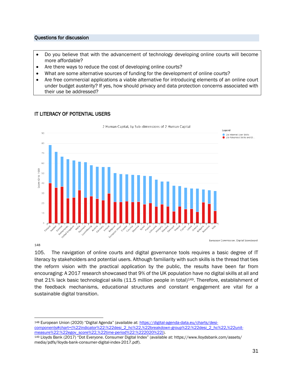#### <span id="page-32-0"></span>Questions for discussion

- Do you believe that with the advancement of technology developing online courts will become more affordable?
- Are there ways to reduce the cost of developing online courts?
- What are some alternative sources of funding for the development of online courts?
- Are free commercial applications a viable alternative for introducing elements of an online court under budget austerity? If yes, how should privacy and data protection concerns associated with their use be addressed?



#### <span id="page-32-1"></span>IT LITERACY OF POTENTIAL USERS

148

European Commission, Digital Scoreboard

105. The navigation of online courts and digital governance tools requires a basic degree of IT literacy by stakeholders and potential users. Although familiarity with such skills is the thread that ties the reform vision with the practical application by the public, the results have been far from encouraging: A 2017 research showcased that 9% of the UK population have no digital skills at all and that 21% lack basic technological skills (11.5 million people in total)<sup>149</sup>. Therefore, establishment of the feedback mechanisms, educational structures and constant engagement are vital for a sustainable digital transition.

148 European Union (2020) "Digital Agenda" (available at: [https://digital-agenda-data.eu/charts/desi](https://digital-agenda-data.eu/charts/desi-components#chart={%22indicator%22:%22desi_2_hc%22,%22breakdown-group%22:%22desi_2_hc%22,%22unit-measure%22:%22egov_score%22,%22time-period%22:%222020%22})[components#chart={%22indicator%22:%22desi\\_2\\_hc%22,%22breakdown-group%22:%22desi\\_2\\_hc%22,%22unit](https://digital-agenda-data.eu/charts/desi-components#chart={%22indicator%22:%22desi_2_hc%22,%22breakdown-group%22:%22desi_2_hc%22,%22unit-measure%22:%22egov_score%22,%22time-period%22:%222020%22})[measure%22:%22egov\\_score%22,%22time-period%22:%222020%22}\)](https://digital-agenda-data.eu/charts/desi-components#chart={%22indicator%22:%22desi_2_hc%22,%22breakdown-group%22:%22desi_2_hc%22,%22unit-measure%22:%22egov_score%22,%22time-period%22:%222020%22}).

<sup>149</sup> Lloyds Bank (2017) "Dot Everyone. Consumer Digital Index" (available at: https://www.lloydsbank.com/assets/ media/pdfs/lloyds-bank-consumer-digital-index-2017.pdf).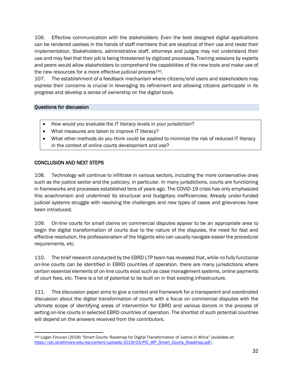106. Effective communication with the stakeholders: Even the best designed digital applications can be rendered useless in the hands of staff members that are skeptical of their use and resist their implementation. Stakeholders, administrative staff, attorneys and judges may not understand their use and may feel that their job is being threatened by digitized processes. Training sessions by experts and peers would allow stakeholders to comprehend the capabilities of the new tools and make use of the new resources for a more effective judicial process<sup>150</sup>.

107. The establishment of a feedback mechanism where citizens/end users and stakeholders may express their concerns is crucial in leveraging its refinement and allowing citizens participate in its progress and develop a sense of ownership on the digital tools.

#### <span id="page-33-0"></span>Questions for discussion

- How would you evaluate the IT literacy levels in your jurisdiction?
- What measures are taken to improve IT literacy?
- What other methods do you think could be applied to minimize the risk of reduced IT literacy in the context of online courts development and use?

#### <span id="page-33-1"></span>CONCLUSION AND NEXT STEPS

108. Technology will continue to infiltrate in various sectors, including the more conservative ones such as the justice sector and the judiciary, in particular. In many jurisdictions, courts are functioning in frameworks and processes established tens of years ago. The COVID-19 crisis has only emphasized this anachronism and underlined its structural and budgetary inefficiencies: Already under-funded judicial systems struggle with resolving the challenges and new types of cases and grievances have been introduced.

109. On-line courts for small claims on commercial disputes appear to be an appropriate area to begin the digital transformation of courts due to the nature of the disputes, the need for fast and effective resolution, the professionalism of the litigants who can usually navigate easier the procedural requirements, etc.

110. The brief research conducted by the EBRD LTP team has revealed that, while no fully functional on-line courts can be identified in EBRD countries of operation, there are many jurisdictions where certain essential elements of on-line courts exist such as case management systems, online payments of court fees, etc. There is a lot of potential to be built on in that existing infrastructure.

111. This discussion paper aims to give a context and framework for a transparent and coordinated discussion about the digital transformation of courts with a focus on commercial disputes with the ultimate scope of identifying areas of intervention for EBRD and various donors in the process of setting on-line courts in selected EBRD countries of operation. The shortlist of such potential countries will depend on the answers received from the contributors.

<sup>150</sup> Logan Finucan (2018) "Smart Courts: Roadmap for Digital Transformation of Justice in Africa" (available at: [https://pic.strathmore.edu/wp-content/uploads/2019/03/PIC\\_WP\\_Smart\\_Courts\\_Roadmap.pdf\)](https://pic.strathmore.edu/wp-content/uploads/2019/03/PIC_WP_Smart_Courts_Roadmap.pdf).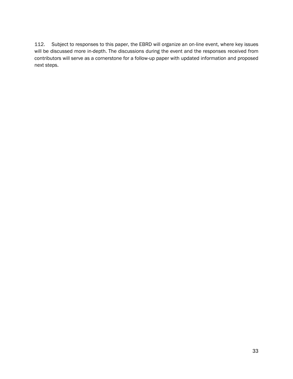112. Subject to responses to this paper, the EBRD will organize an on-line event, where key issues will be discussed more in-depth. The discussions during the event and the responses received from contributors will serve as a cornerstone for a follow-up paper with updated information and proposed next steps.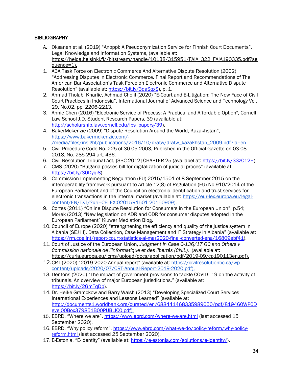# <span id="page-35-0"></span>**BIBLIOGRAPHY**

- A. Oksanen et al. (2019) "Anoppi: A Pseudonymization Service for Finnish Court Documents", Legal Knowledge and Information Systems, (available at: [https://helda.helsinki.fi//bitstream/handle/10138/315951/FAIA\\_322\\_FAIA190335.pdf?se](https://helda.helsinki.fi/bitstream/handle/10138/315951/FAIA_322_FAIA190335.pdf?sequence=1) [quence=1\)](https://helda.helsinki.fi/bitstream/handle/10138/315951/FAIA_322_FAIA190335.pdf?sequence=1).
- 1. ABA Task Force on Electronic Commerce And Alternative Dispute Resolution (2002) "Addressing Disputes in Electronic Commerce. Final Report and Recommendations of The American Bar Association's Task Force on Electronic Commerce and Alternative Dispute Resolution" (available at: [https://bit.ly/3daSqxS\)](https://bit.ly/3daSqxS), p. 1.
- 2. Ahmad Tholabi Kharlie, Achmad Cholil (2020) "E-Court and E-Litigation: The New Face of Civil Court Practices in Indonesia", International Journal of Advanced Science and Technology Vol. 29, No.02, pp. 2206-2213.
- 3. Annie Chen (2016) "Electronic Service of Process: A Practical and Affordable Option", Cornell Law School J.D. Student Research Papers, 39 (available at: [http://scholarship.law.cornell.edu/lps\\_papers/39\)](http://scholarship.law.cornell.edu/lps_papers/39).
- 4. BakerMckenzie (2009) "Dispute Resolution Around the World, Kazakhstan", [https://www.bakermckenzie.com/-](https://www.bakermckenzie.com/-/media/files/insight/publications/2016/10/dratw/dratw_kazakhstan_2009.pdf?la=en) [/media/files/insight/publications/2016/10/dratw/dratw\\_kazakhstan\\_2009.pdf?la=en](https://www.bakermckenzie.com/-/media/files/insight/publications/2016/10/dratw/dratw_kazakhstan_2009.pdf?la=en)
- 5. Civil Procedure Code No. 225 of 30-05-2003, Published in the Official Gazette on 03-08- 2018, No. 285-294 art. 436.
- 6. Civil Resolution Tribunal Act, [SBC 2012] CHAPTER 25 (availabel at: [https://bit.ly/33zC12H\)](https://bit.ly/33zC12H).
- 7. CMS (2020) "Bulgaria passes bill for digitalization of judicial proces" (available at: [https://bit.ly/30Dyqi8\)](https://bit.ly/30Dyqi8).
- 8. Commission Implementing Regulation (EU) 2015/1501 of 8 September 2015 on the interoperability framework pursuant to Article 12(8) of Regulation (EU) No 910/2014 of the European Parliament and of the Council on electronic identification and trust services for electronic transactions in the internal market (available at: [https://eur-lex.europa.eu/legal](https://eur-lex.europa.eu/legal-content/EN/TXT/?uri=CELEX:02015R1501-20150909)[content/EN/TXT/?uri=CELEX:02015R1501-20150909\)](https://eur-lex.europa.eu/legal-content/EN/TXT/?uri=CELEX:02015R1501-20150909).
- 9. Cortes (2011) "Online Dispute Resolution for Consumers in the European Union", p.54; Morek (2013) "New legislation on ADR and ODR for consumer disputes adopted in the European Parliament" Kluwer Mediation Blog.
- 10. Council of Europe (2020) "strengthening the efficiency and quality of the justice system in Albania (SEJ III). Data Collection, Case Management and IT Strategy in Albania" (available at: [https://rm.coe.int/report-court-statistics-al-mar2020-final-converted-eng/16809ebf41\)](https://rm.coe.int/report-court-statistics-al-mar2020-final-converted-eng/16809ebf41).
- 11. Court of Justice of the European Union, *Judgment in Case C-136/17 GC and Others v Commission nationale de l'informatique et des libertés (CNIL),* (available at: [https://curia.europa.eu/jcms/upload/docs/application/pdf/2019-09/cp190113en.pdf\)](https://curia.europa.eu/jcms/upload/docs/application/pdf/2019-09/cp190113en.pdf).
- 12.CRT (2020) "2019-2020 Annual report" (available at: [https://civilresolutionbc.ca/wp](https://civilresolutionbc.ca/wp-content/uploads/2020/07/CRT-Annual-Report-2019-2020.pdf)[content/uploads/2020/07/CRT-Annual-Report-2019-2020.pdf\)](https://civilresolutionbc.ca/wp-content/uploads/2020/07/CRT-Annual-Report-2019-2020.pdf).
- 13. Dentons (2020) "The impact of government provisions to tackle COVID–19 on the activity of tribunals. An overview of major European jurisdictions." (available at: [https://bit.ly/2GmTqDb\)](https://bit.ly/2GmTqDb).
- 14. Dr. Heike Gramckow and Barry Walsh (2013) "Developing Specialized Court Services International Experiences and Lessons Learned" (available at: [http://documents1.worldbank.org/curated/en/688441468335989050/pdf/819460WP0D](http://documents1.worldbank.org/curated/en/688441468335989050/pdf/819460WP0Devel00Box379851B00PUBLIC0.pdf) [evel00Box379851B00PUBLIC0.pdf\)](http://documents1.worldbank.org/curated/en/688441468335989050/pdf/819460WP0Devel00Box379851B00PUBLIC0.pdf).
- 15. EBRD, "Where we are", <https://www.ebrd.com/where-we-are.html> (last accessed 15 September 2020).
- 16. EBRD, "Why policy reform", [https://www.ebrd.com/what-we-do/policy-reform/why-policy](https://www.ebrd.com/what-we-do/policy-reform/why-policy-reform.html)[reform.html](https://www.ebrd.com/what-we-do/policy-reform/why-policy-reform.html) (last accessed 25 September 2020).
- 17. E-Estonia, "E-Identity" (available at: [https://e-estonia.com/solutions/e-identity/\)](https://e-estonia.com/solutions/e-identity/).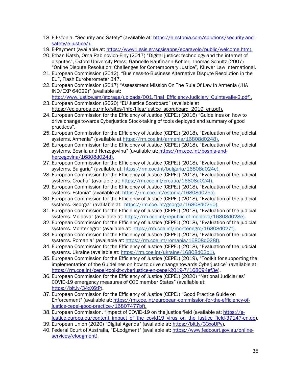- 18. E-Estonia, "Security and Safety" (available at: [https://e-estonia.com/solutions/security-and](https://e-estonia.com/solutions/security-and-safety/e-justice/)[safety/e-justice/\)](https://e-estonia.com/solutions/security-and-safety/e-justice/).
- 19. E-Payment (available at: [https://www1.gsis.gr/sgsisapps/eparavolo/public/welcome.htm\)](https://www1.gsis.gr/sgsisapps/eparavolo/public/welcome.htm).
- 20. Ethan Katsh, Orna Rabinovich-Einy (2017) "Digital justice: technology and the internet of disputes", Oxford University Press; Gabrielle Kaufmann-Kohler, Thomas Schultz (2007) "Online Dispute Resolution: Challenges for Contemporary Justice", Kluwer Law International.
- 21. European Commission (2012), "Business-to-Business Alternative Dispute Resolution in the EU", Flash Eurobarometer 347.
- 22. European Commission (2017) "Assessment Mission On The Rule Of Law In Armenia (JHA IND/EXP 64029)" (available at:
- [http://www.justice.am/storage/uploads/001.Final\\_Efficiency-Judiciary\\_Quintavalle-2.pdf\)](http://www.justice.am/storage/uploads/001.Final_Efficiency-Judiciary_Quintavalle-2.pdf). 23. European Commission (2020) "EU Justice Scorboard" (available at
- [https://ec.europa.eu/info/sites/info/files/justice\\_scoreboard\\_2019\\_en.pdf\)](https://ec.europa.eu/info/sites/info/files/justice_scoreboard_2019_en.pdf).
- 24. European Commission for the Efficiency of Justice (CEPEJ) (2016) "Guidelines on how to drive change towards Cyberjustice Stock-taking of tools deployed and summary of good practices".
- 25. European Commission for the Efficiency of Justice (CEPEJ) (2018), "Evaluation of the judicial systems. Armenia" (available at [https://rm.coe.int/armenia/16808d0248\)](https://rm.coe.int/armenia/16808d0248).
- 26. European Commission for the Efficiency of Justice (CEPEJ) (2018), "Evaluation of the judicial systems. Bosnia and Herzegovina" (available at: [https://rm.coe.int/bosnia-and](https://rm.coe.int/bosnia-and-herzegovina/16808d024d)[herzegovina/16808d024d\)](https://rm.coe.int/bosnia-and-herzegovina/16808d024d).
- 27. European Commission for the Efficiency of Justice (CEPEJ) (2018), "Evaluation of the judicial systems. Bulgaria" (available at: [https://rm.coe.int/bulgaria/16808d024e\)](https://rm.coe.int/bulgaria/16808d024e).
- 28. European Commission for the Efficiency of Justice (CEPEJ) (2018), "Evaluation of the judicial systems. Croatia" (available at: [https://rm.coe.int/croatia/16808d024f\)](https://rm.coe.int/croatia/16808d024f).
- 29. European Commission for the Efficiency of Justice (CEPEJ) (2018), "Evaluation of the judicial systems. Estonia" (available at: [https://rm.coe.int/estonia/16808d025c\)](https://rm.coe.int/estonia/16808d025c).
- 30. European Commission for the Efficiency of Justice (CEPEJ) (2018), "Evaluation of the judicial systems. Georgia" (available at: [https://rm.coe.int/georgia/16808d0260\)](https://rm.coe.int/georgia/16808d0260).
- 31. European Commission for the Efficiency of Justice (CEPEJ) (2018), "Evaluation of the judicial systems. Moldova" (available at: [https://rm.coe.int/republic-of-moldova/16808d028e\)](https://rm.coe.int/republic-of-moldova/16808d028e).
- 32. European Commission for the Efficiency of Justice (CEPEJ) (2018), "Evaluation of the judicial systems. Montenegro" (available at: [https://rm.coe.int/montenegro/16808d027f\)](https://rm.coe.int/montenegro/16808d027f).
- 33. European Commission for the Efficiency of Justice (CEPEJ) (2018), "Evaluation of the judicial systems. Romania" (available at: [https://rm.coe.int/romania/16808d028f\)](https://rm.coe.int/romania/16808d028f).
- 34. European Commission for the Efficiency of Justice (CEPEJ) (2018), "Evaluation of the judicial systems. Ukraine (available at: [https://rm.coe.int/ukraine/16808d02b1\)](https://rm.coe.int/ukraine/16808d02b1).
- 35. European Commission for the Efficiency of Justice (CEPEJ) (2019), "Toolkit for supporting the implementation of the Guidelines on how to drive change towards Cyberjustice" (available at: [https://rm.coe.int/cepej-toolkit-cyberjustice-en-cepej-2019-7/168094ef3e\)](https://rm.coe.int/cepej-toolkit-cyberjustice-en-cepej-2019-7/168094ef3e).
- 36. European Commission for the Efficiency of Justice (CEPEJ) (2020) "National Judiciaries' COVID-19 emergency measures of COE member States" (available at: [https://bit.ly/34xX6tP\)](https://bit.ly/34xX6tP).
- 37. European Commission for the Efficiency of Justice (CEPEJ) "Good Practice Guide on Enforcement" (available at: [https://rm.coe.int/european-commission-for-the-efficiency-of](https://rm.coe.int/european-commission-for-the-efficiency-of-justice-cepej-good-practice-/16807477bf)[justice-cepej-good-practice-/16807477bf\)](https://rm.coe.int/european-commission-for-the-efficiency-of-justice-cepej-good-practice-/16807477bf).
- 38. European Commission, "Impact of COVID-19 on the justice field (available at: [https://e](https://e-justice.europa.eu/content_impact_of_the_covid19_virus_on_the_justice_field-37147-en.do)[justice.europa.eu/content\\_impact\\_of\\_the\\_covid19\\_virus\\_on\\_the\\_justice\\_field-37147-en.do\)](https://e-justice.europa.eu/content_impact_of_the_covid19_virus_on_the_justice_field-37147-en.do).
- 39. European Union (2020) "Digital Agenda" (available at: [https://bit.ly/33xoUPv\)](https://bit.ly/33xoUPv).
- 40. Federal Court of Australia, "E-Lodgment" (available at: [https://www.fedcourt.gov.au/online](https://www.fedcourt.gov.au/online-services/elodgment)[services/elodgment\)](https://www.fedcourt.gov.au/online-services/elodgment).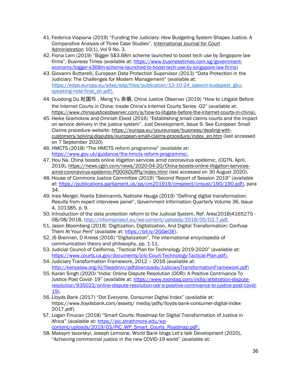- 41. Federica Viapiana (2019) "Funding the Judiciary: How Budgeting System Shapes Justice. A Comparative Analysis of Three Case Studies", [International](https://www.researchgate.net/journal/2156-7964_International_Journal_for_Court_Administration) Journal for Court [Administration](https://www.researchgate.net/journal/2156-7964_International_Journal_for_Court_Administration) 10(1), Vol 9 No. 3.
- 42. Fiona Lam (2019) "Bigger S\$3.68m scheme launched to boost tech use by Singapore law firms", Business Times (available at: [https://www.businesstimes.com.sg/government](https://www.businesstimes.com.sg/government-economy/bigger-s368m-scheme-launched-to-boost-tech-use-by-singapore-law-firms)[economy/bigger-s368m-scheme-launched-to-boost-tech-use-by-singapore-law-firms\)](https://www.businesstimes.com.sg/government-economy/bigger-s368m-scheme-launched-to-boost-tech-use-by-singapore-law-firms)
- 43. Giovanni Buttarelli, European Data Protection Supervisor *(*2013) "Data Protection in the Judiciary: The Challenges for Modern Management" (available at: [https://edps.europa.eu/sites/edp/files/publication/13-10-24\\_speech-budapest\\_gbu](https://edps.europa.eu/sites/edp/files/publication/13-10-24_speech-budapest_gbu-speaking-note-final_en.pdf)[speaking-note-final\\_en.pdf\)](https://edps.europa.eu/sites/edp/files/publication/13-10-24_speech-budapest_gbu-speaking-note-final_en.pdf).
- 44. Guodong Du 杜国栋 , Meng Yu 余萌, China Justice Observer (2019) "How to Litigate Before the Internet Courts in China: Inside China's Internet Courts Series -02" (available at: [https://www.chinajusticeobserver.com/a/how-to-litigate-before-the-internet-courts-in-china\)](https://www.chinajusticeobserver.com/a/how-to-litigate-before-the-internet-courts-in-china).
- 45. Heike Gramckow and Omniah Ebeid (2016) "Establishing small claims courts and the impact on service delivery in the justice system", Just Development, Issue 9. See European Small Claims procedure website: [https://europa.eu/youreurope/business/dealing-with](https://europa.eu/youreurope/business/dealing-with-customers/solving-disputes/european-small-claims-procedure/index_en.htm)[customers/solving-disputes/european-small-claims-procedure/index\\_en.htm](https://europa.eu/youreurope/business/dealing-with-customers/solving-disputes/european-small-claims-procedure/index_en.htm) (last accessed on 7 September 2020)
- 46. HMCTS (2018) "The HMCTS reform programme" (available at: [https://www.gov.uk/guidance/the-hmcts-reform-programme\)](https://www.gov.uk/guidance/the-hmcts-reform-programme).
- 47. Hou Na, China boosts online litigation services amid coronavirus epidemic, (CGTN, April, 2019), [https://news.cgtn.com/news/2020-04-20/China-boosts-online-litigation-services](https://news.cgtn.com/news/2020-04-20/China-boosts-online-litigation-services-amid-coronavirus-epidemic-PQ00XDUfPq/index.html)[amid-coronavirus-epidemic-PQ00XDUfPq/index.html](https://news.cgtn.com/news/2020-04-20/China-boosts-online-litigation-services-amid-coronavirus-epidemic-PQ00XDUfPq/index.html) (last accessed on 30 August 2020).
- 48. House of Commons Justice Committee (2019) "Second Report of Session 2019" (available at[: https://publications.parliament.uk/pa/cm201919/cmselect/cmjust/190/190.pdf\)](https://publications.parliament.uk/pa/cm201919/cmselect/cmjust/190/190.pdf), para 34.
- 49. [Ines Mergel, Noella Edelmannb, Nathalie Hauga](https://www.sciencedirect.com/science/article/pii/S0740624X18304131#!) (2019) "Defining digital transformation: Results from expert interviews panel", [Government Information Quarterly](https://www.sciencedirect.com/science/journal/0740624X) [Volume 36, Issue](https://www.sciencedirect.com/science/journal/0740624X/36/4)  [4,](https://www.sciencedirect.com/science/journal/0740624X/36/4) 101385, p. 9.
- 50. Introduction of the data protection reform to the Judicial System, Ref. Ares(2018)4165275 -08/08/2018, [http://informproject.eu/wp-content/uploads/2018/05/D2.7.pdf.](http://informproject.eu/wp-content/uploads/2018/05/D2.7.pdf)
- 51. [Jason Bloomberg](https://www.forbes.com/sites/jasonbloomberg/) (2018) 'Digitization, Digitalization, And Digital Transformation: Confuse Them At Your Peril' (available at: [https://bit.ly/2GGel3E\)](https://bit.ly/2GGel3E).
- 52. JS Brennen, D Kreiss (2016) "Digitalization", The international encyclopedia of communication theory and philosophy, pp. 1-11.
- 53. Judicial Council of California, "Tactical Plan for Technology 2019-2020" (available at: [https://www.courts.ca.gov/documents/jctc-Court-Technology-Tactical-Plan.pdf\)](https://www.courts.ca.gov/documents/jctc-Court-Technology-Tactical-Plan.pdf).
- 54. Judiciary Transformation Framework, 2012 2016 (available at: [http://kenyalaw.org/kl/fileadmin/pdfdownloads/JudiciaryTransformationFramework.pdf\)](http://kenyalaw.org/kl/fileadmin/pdfdownloads/JudiciaryTransformationFramework.pdf)
- 55. Karan Singh (2020) "India: Online Dispute Resolution (ODR): A Positive Contrivance To Justice Post Covid- 19" (available at: [https://www.mondaq.com/india/arbitration-dispute](https://www.mondaq.com/india/arbitration-dispute-resolution/935022/online-dispute-resolution-odr-a-positive-contrivance-to-justice-post-covid-19)[resolution/935022/online-dispute-resolution-odr-a-positive-contrivance-to-justice-post-covid-](https://www.mondaq.com/india/arbitration-dispute-resolution/935022/online-dispute-resolution-odr-a-positive-contrivance-to-justice-post-covid-19)[19\)](https://www.mondaq.com/india/arbitration-dispute-resolution/935022/online-dispute-resolution-odr-a-positive-contrivance-to-justice-post-covid-19).
- 56. Lloyds Bank (2017) "Dot Everyone. Consumer Digital Index" (available at: https://www.lloydsbank.com/assets/ media/pdfs/lloyds-bank-consumer-digital-index-2017.pdf).
- 57. Logan Finucan (2018) "Smart Courts: Roadmap for Digital Transformation of Justice in Africa" (available at: [https://pic.strathmore.edu/wp](https://pic.strathmore.edu/wp-content/uploads/2019/03/PIC_WP_Smart_Courts_Roadmap.pdf)[content/uploads/2019/03/PIC\\_WP\\_Smart\\_Courts\\_Roadmap.pdf\)](https://pic.strathmore.edu/wp-content/uploads/2019/03/PIC_WP_Smart_Courts_Roadmap.pdf).
- 58. Maksym Iavorskyi, Joseph Lemoine, World Bank blogs Let's talk Development (2020), "Achieving commercial justice in the new COVID-19 world" (available at: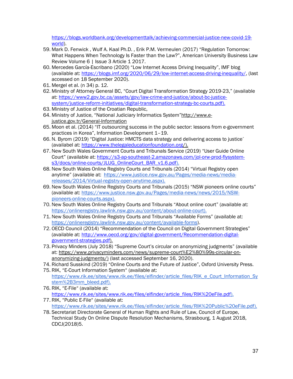[https://blogs.worldbank.org/developmenttalk/achieving-commercial-justice-new-covid-19](https://blogs.worldbank.org/developmenttalk/achieving-commercial-justice-new-covid-19-world) [world\)](https://blogs.worldbank.org/developmenttalk/achieving-commercial-justice-new-covid-19-world).

- 59. Mark D. Fenwick , Wulf A. Kaal Ph.D. , Erik P.M. Vermeulen (2017) "Regulation Tomorrow: What Happens When Technology Is Faster than the Law?", American University Business Law Review Volume 6 | Issue 3 Article 1 2017.
- 60. Mercedes García-Escribano (2020) "Low Internet Access Driving Inequality", IMF blog (available at: [https://blogs.imf.org/2020/06/29/low-internet-access-driving-inequality/,](https://blogs.imf.org/2020/06/29/low-internet-access-driving-inequality/) (last accessed on 18 September 2020).
- 61. Mergel et al. (n 34) p. 12.
- 62. Ministry of Attorney General BC, "Court Digital Transformation Strategy 2019-23," (available at[: https://www2.gov.bc.ca/assets/gov/law-crime-and-justice/about-bc-justice](https://www2.gov.bc.ca/assets/gov/law-crime-and-justice/about-bc-justice-system/justice-reform-initiatives/digital-transformation-strategy-bc-courts.pdf)[system/justice-reform-initiatives/digital-transformation-strategy-bc-courts.pdf\)](https://www2.gov.bc.ca/assets/gov/law-crime-and-justice/about-bc-justice-system/justice-reform-initiatives/digital-transformation-strategy-bc-courts.pdf).
- 63. Ministry of Justice of the Croatian Republic,
- 64. Ministry of Justice, "National Judiciary Informatics System"[http://www.e](http://www.e-justice.gov.tr/General-Information)[justice.gov.tr/General-Information](http://www.e-justice.gov.tr/General-Information)
- 65. Moon et al. (2014) "IT outsourcing success in the public sector: lessons from e-government practices in Korea", Information Development 1–19.
- 66. N. Byrom (2019) "Digital Justice: HMCTS data strategy and delivering access to justice" (availabel at: [https://www.thelegaleducationfoundation.org/\)](https://www.thelegaleducationfoundation.org/).
- 67. New South Wales Government Courts and Tribunals Service (2019) "User Guide Online Court" (available at: [https://s3-ap-southeast-2.amazonaws.com/jol-orw-prod-flysystem](https://s3-ap-southeast-2.amazonaws.com/jol-orw-prod-flysystem-s3/docs/online-courts/JLUG_OnlineCourt_BAR_v1.6.pdf)[s3/docs/online-courts/JLUG\\_OnlineCourt\\_BAR\\_v1.6.pdf\)](https://s3-ap-southeast-2.amazonaws.com/jol-orw-prod-flysystem-s3/docs/online-courts/JLUG_OnlineCourt_BAR_v1.6.pdf).
- 68. New South Wales Online Registry Courts and Tribunals (2014) "Virtual Registry open anytime" (available at: [https://www.justice.nsw.gov.au/Pages/media-news/media](https://www.justice.nsw.gov.au/Pages/media-news/media-releases/2014/Virtual-registry-open-anytime.aspx)[releases/2014/Virtual-registry-open-anytime.aspx\)](https://www.justice.nsw.gov.au/Pages/media-news/media-releases/2014/Virtual-registry-open-anytime.aspx).
- 69. New South Wales Online Registry Courts and Tribunals (2015) "NSW pioneers online courts" (available at: [https://www.justice.nsw.gov.au/Pages/media-news/news/2015/NSW](https://www.justice.nsw.gov.au/Pages/media-news/news/2015/NSW-pioneers-online-courts.aspx)[pioneers-online-courts.aspx\)](https://www.justice.nsw.gov.au/Pages/media-news/news/2015/NSW-pioneers-online-courts.aspx).
- 70. New South Wales Online Registry Courts and Tribunals "About online court" (available at: [https://onlineregistry.lawlink.nsw.gov.au/content/about-online-court\)](https://onlineregistry.lawlink.nsw.gov.au/content/about-online-court).
- 71. New South Wales Online Registry Courts and Tribunals "Available Forms" (available at: [https://onlineregistry.lawlink.nsw.gov.au/content/available-forms\)](https://onlineregistry.lawlink.nsw.gov.au/content/available-forms).
- 72. OECD Council (2014) "Recommendation of the Council on Digital Government Strategies" (available at: [http://www.oecd.org/gov/digital-government/Recommendation-digital](http://www.oecd.org/gov/digital-government/Recommendation-digital-government-strategies.pdf)[government-strategies.pdf\)](http://www.oecd.org/gov/digital-government/Recommendation-digital-government-strategies.pdf).
- 73. Privacy Minders (July 2018) "Supreme Court's circular on anonymizing judgments" (available at[: https://www.privacyminders.com/news/supreme-court%E2%80%99s-circular-on](https://www.privacyminders.com/news/supreme-court%E2%80%99s-circular-on-anonymizing-judgments/)[anonymizing-judgments/\)](https://www.privacyminders.com/news/supreme-court%E2%80%99s-circular-on-anonymizing-judgments/) (last accessed September 16, 2020).
- 74. Richard Susskind (2019) "Online Courts and the Future of Justice", Oxford University Press.
- 75. RIK, "E-Court Information System" (available at: [https://www.rik.ee/sites/www.rik.ee/files/elfinder/article\\_files/RIK\\_e\\_Court\\_Information\\_Sy](https://www.rik.ee/sites/www.rik.ee/files/elfinder/article_files/RIK_e_Court_Information_System%2B3mm_bleed.pdf) [stem%2B3mm\\_bleed.pdf\)](https://www.rik.ee/sites/www.rik.ee/files/elfinder/article_files/RIK_e_Court_Information_System%2B3mm_bleed.pdf).
- 76. RIK, "E-File" (available at: [https://www.rik.ee/sites/www.rik.ee/files/elfinder/article\\_files/RIK%20eFile.pdf\)](https://www.rik.ee/sites/www.rik.ee/files/elfinder/article_files/RIK%20eFile.pdf).
- 77. RIK, "Public E-File" (available at: [https://www.rik.ee/sites/www.rik.ee/files/elfinder/article\\_files/RIK%20Public%20eFile.pdf\)](https://www.rik.ee/sites/www.rik.ee/files/elfinder/article_files/RIK%20Public%20eFile.pdf).
- 78. Secretariat Directorate General of Human Rights and Rule of Law, Council of Europe, Technical Study On Online Dispute Resolution Mechanisms, Strasbourg, 1 August 2018, CDCJ(2018)5.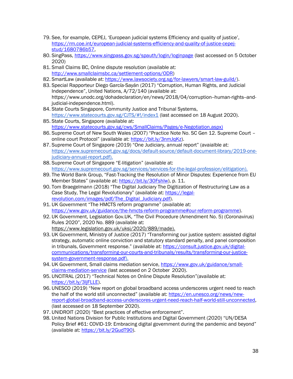- 79. See, for example, CEPEJ, 'European judicial systems Efficiency and quality of justice', [https://rm.coe.int/european-judicial-systems-efficiency-and-quality-of-justice-cepej](https://rm.coe.int/european-judicial-systems-efficiency-and-quality-of-justice-cepej-stud/1680786b57)[stud/1680786b57,](https://rm.coe.int/european-judicial-systems-efficiency-and-quality-of-justice-cepej-stud/1680786b57)
- 80. SingPass,<https://www.singpass.gov.sg/spauth/login/loginpage> (last accessed on 5 October 2020)
- 81. Small Claims BC, Online dispute resolution (available at: [http://www.smallclaimsbc.ca/settlement-options/ODR\)](http://www.smallclaimsbc.ca/settlement-options/ODR)
- 82. SmartLaw (available at: [https://www.lawsociety.org.sg/for-lawyers/smart-law-guild/\)](https://www.lawsociety.org.sg/for-lawyers/smart-law-guild/).
- 83. Special Rapporteur Diego García-Sayán (2017) "Corruption, Human Rights, and Judicial Independence", United Nations, A/72/140 (available at: https://www.unodc.org/dohadeclaration/en/news/2018/04/corruption--human-rights--andjudicial-independence.html).
- 84. State Courts Singapore, Community Justice and Tribunal Systems[,](https://www.statecourts.gov.sg/CJTS/#!/index1) <https://www.statecourts.gov.sg/CJTS/#!/index1> (last accessed on 18 August 2020).
- 85. State Courts, Singapore (available at: [https://www.statecourts.gov.sg/cws/SmallClaims/Pages/e-Negotiation.aspx\)](https://www.statecourts.gov.sg/cws/SmallClaims/Pages/e-Negotiation.aspx)
- 86. Supreme Court of New South Wales (2007) "Practice Note No. SC Gen 12. Supreme Court online court Protocol" (available at: [https://bit.ly/3nmJqKz\)](https://bit.ly/3nmJqKz).
- 87. Supreme Court of Singapore (2019) "One Judiciary, annual report" (avaialble at: [https://www.supremecourt.gov.sg/docs/default-source/default-document-library/2019-one](https://www.supremecourt.gov.sg/docs/default-source/default-document-library/2019-one-judiciary-annual-report.pdf)[judiciary-annual-report.pdf\)](https://www.supremecourt.gov.sg/docs/default-source/default-document-library/2019-one-judiciary-annual-report.pdf).
- 88. Supreme Court of Singapore "E-litigation" (available at: [https://www.supremecourt.gov.sg/services/services-for-the-legal-profession/elitigation\)](https://www.supremecourt.gov.sg/services/services-for-the-legal-profession/elitigation).
- 89. The World Bank Group, "Fast-Tracking the Resolution of Minor Disputes: Experience from EU Member States" (available at: [https://bit.ly/30Fshlw\)](https://bit.ly/30Fshlw), p. 11.
- 90. Tom Braegelmann (2018) "The Digital Judiciary The Digitization of Restructuring Law as a Case Study, The Legal Revolutionary" (available at: [https://legal](https://legal-revolution.com/images/pdf/The_Digital_Judiciary.pdf)[revolution.com/images/pdf/The\\_Digital\\_Judiciary.pdf\)](https://legal-revolution.com/images/pdf/The_Digital_Judiciary.pdf).
- 91. UK Government "The HMCTS reform programme" (available at: [https://www.gov.uk/guidance/the-hmcts-reform-programme#our-reform-programme\)](https://www.gov.uk/guidance/the-hmcts-reform-programme#our-reform-programme).
- 92. UK Government, Legislation Gov.UK, "The Civil Procedure (Amendment No. 5) (Coronavirus) Rules 2020", 2020 No. 889 (available at: [https://www.legislation.gov.uk/uksi/2020/889/made\)](https://www.legislation.gov.uk/uksi/2020/889/made).
- 93. UK Government, Ministry of Justice (2017) "Transforming our justice system: assisted digital strategy, automatic online conviction and statutory standard penalty, and panel composition in tribunals, Government response." (available at: [https://consult.justice.gov.uk/digital](https://consult.justice.gov.uk/digital-communications/transforming-our-courts-and-tribunals/results/transforming-our-justice-system-government-response.pdf)[communications/transforming-our-courts-and-tribunals/results/transforming-our-justice](https://consult.justice.gov.uk/digital-communications/transforming-our-courts-and-tribunals/results/transforming-our-justice-system-government-response.pdf)[system-government-response.pdf\)](https://consult.justice.gov.uk/digital-communications/transforming-our-courts-and-tribunals/results/transforming-our-justice-system-government-response.pdf).
- 94. UK Government, Small claims mediation service, [https://www.gov.uk/guidance/small](https://www.gov.uk/guidance/small-claims-mediation-service)[claims-mediation-service](https://www.gov.uk/guidance/small-claims-mediation-service) (last accessed on 2 October 2020).
- 95. UNCITRAL (2017) "Technical Notes on Online Dispute Resolution"(available at: [https://bit.ly/3ljFLLE\)](https://bit.ly/3ljFLLE).
- 96. UNESCO (2019) "New report on global broadband access underscores urgent need to reach the half of the world still unconnected" (available at: [https://en.unesco.org/news/new](https://en.unesco.org/news/new-report-global-broadband-access-underscores-urgent-need-reach-half-world-still-unconnected)[report-global-broadband-access-underscores-urgent-need-reach-half-world-still-unconnected,](https://en.unesco.org/news/new-report-global-broadband-access-underscores-urgent-need-reach-half-world-still-unconnected) (last accessed on 18 September 2020).
- 97. UNIDROIT (2020) "Best practices of effective enforcement".
- 98. United Nations Division for Public Institutions and Digital Government (2020) "UN/DESA Policy Brief #61: COVID-19: Embracing digital government during the pandemic and beyond" (available at: [https://bit.ly/2GudT90\)](https://bit.ly/2GudT90).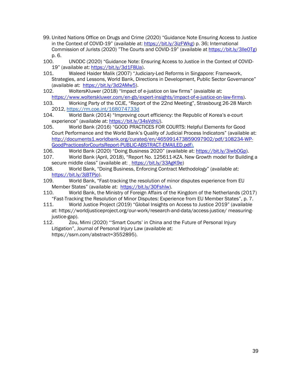- 99. United Nations Office on Drugs and Crime (2020) "Guidance Note Ensuring Access to Justice in the Context of COVID-19" (available at: [https://bit.ly/3izFWkg\)](https://bit.ly/3izFWkg) p. 36; International Commission of Jurists (2020) "The Courts and COVID-19" (available at [https://bit.ly/3lle0Tg\)](https://bit.ly/3lle0Tg) p. 6.
- 100. UNODC (2020) "Guidance Note: Ensuring Access to Justice in the Context of COVID19" (available at: [https://bit.ly/3d1F8Ua\)](https://bit.ly/3d1F8Ua).
- 101. Waleed Haider Malik (2007) "Judiciary-Led Reforms in Singapore: Framework, Strategies, and Lessons, World Bank, Directions in Development, Public Sector Governance" (available at: [https://bit.ly/3d2AMw5\)](https://bit.ly/3d2AMw5).
- 102. WoltersKluwer (2018) "Impact of e-justice on law firms" (avaialble at: [https://www.wolterskluwer.com/en-gb/expert-insights/impact-of-e-justice-on-law-firms\)](https://www.wolterskluwer.com/en-gb/expert-insights/impact-of-e-justice-on-law-firms).
- 103. Working Party of the CCJE, "Report of the 22nd Meeting", Strasbourg 26-28 March 2012[,](https://rm.coe.int/168074733d) <https://rm.coe.int/168074733d>
- 104. World Bank (2014) "Improving court efficiency: the Republic of Korea's e-court experience" (available at: [https://bit.ly/34sVdhU\)](https://bit.ly/34sVdhU).
- 105. World Bank (2016) "GOOD PRACTICES FOR COURTS: Helpful Elements for Good Court Performance and the World Bank's Quality of Judicial Process Indicators" (available at: [http://documents1.worldbank.org/curated/en/465991473859097902/pdf/108234-WP-](http://documents1.worldbank.org/curated/en/465991473859097902/pdf/108234-WP-GoodPracticesforCourtsReport-PUBLIC-ABSTRACT-EMAILED.pdf)[GoodPracticesforCourtsReport-PUBLIC-ABSTRACT-EMAILED.pdf\)](http://documents1.worldbank.org/curated/en/465991473859097902/pdf/108234-WP-GoodPracticesforCourtsReport-PUBLIC-ABSTRACT-EMAILED.pdf).
- 106. World Bank (2020) "Doing Business 2020" (available at: [https://bit.ly/3iwbOGp\)](https://bit.ly/3iwbOGp).
- 107. World Bank (April, 2018), "Report No. 125611-KZA. New Growth model for Building a securemiddle class" (available at: [https://bit.ly/33AgK9e\)](https://bit.ly/33AgK9e)
- 108. World Bank, "Doing Business, Enforcing Contract Methodology" (available at: [https://bit.ly/3jBTPjo\)](https://bit.ly/3jBTPjo).
- 109. World Bank, "Fast-tracking the resolution of minor disputes experience from EU Member States" (available at: [https://bit.ly/30Fshlw\)](https://bit.ly/30Fshlw).
- 110. World Bank, the Ministry of Foreign Affairs of the Kingdom of the Netherlands (2017) "Fast-Tracking the Resolution of Minor Disputes: Experience from EU Member States", p. 7.
- 111. World Justice Project (2019) "Global Insights on Access to Justice 2019" (available at: https://worldjusticeproject.org/our-work/research-and-data/access-justice/ measuringjustice-gap).
- 112. Zou, Mimi (2020) "'Smart Courts' in China and the Future of Personal Injury Litigation", Journal of Personal Injury Law (available at: [https://ssrn.com/abstract=3552895\)](https://ssrn.com/abstract=3552895).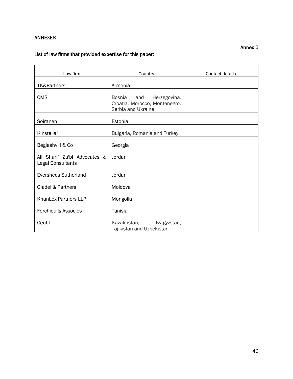# <span id="page-41-0"></span>ANNEXES

#### Annex **1**

# List of law firms that provided expertise for this paper:

| Law firm                                          | Country                                                                                     | Contact details |
|---------------------------------------------------|---------------------------------------------------------------------------------------------|-----------------|
| <b>TK&amp;Partners</b>                            | Armenia                                                                                     |                 |
| <b>CMS</b>                                        | <b>Bosnia</b><br>and<br>Herzegovina.<br>Croatia, Morocco, Montenegro,<br>Serbia and Ukraine |                 |
| Soiranen                                          | Estonia                                                                                     |                 |
| Kinstellar                                        | Bulgaria, Romania and Turkey                                                                |                 |
| Begiashvili & Co                                  | Georgia                                                                                     |                 |
| Ali Sharif Zu'bi Advocates &<br>Legal Consultants | Jordan                                                                                      |                 |
| <b>Eversheds Sutherland</b>                       | Jordan                                                                                      |                 |
| Gladei & Partners                                 | Moldova                                                                                     |                 |
| KhanLex Partners LLP                              | Mongolia                                                                                    |                 |
| Ferchiou & Associés                               | Tunisia                                                                                     |                 |
| Centil                                            | Kazakhstan,<br>Kyrgyzstan,<br>Tajikistan and Uzbekistan                                     |                 |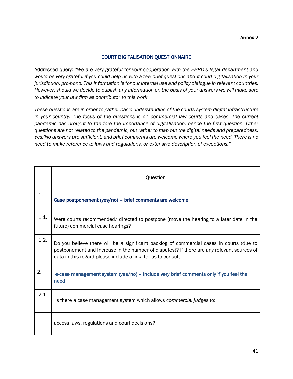#### COURT DIGITALISATION QUESTIONNAIRE

Addressed query: *"We are very grateful for your cooperation with the EBRD's legal department and would be very grateful if you could help us with a few brief questions about court digitalisation in your jurisdiction, pro-bono. This information is for our internal use and policy dialogue in relevant countries. However, should we decide to publish any information on the basis of your answers we will make sure to indicate your law firm as contributor to this work.*

*These questions are in order to gather basic understanding of the courts system digital infrastructure in your country. The focus of the questions is on commercial law courts and cases. The current pandemic has brought to the fore the importance of digitalisation, hence the first question. Other questions are not related to the pandemic, but rather to map out the digital needs and preparedness. Yes/No answers are sufficient, and brief comments are welcome where you feel the need. There is no need to make reference to laws and regulations, or extensive description of exceptions."*

|      | Question                                                                                                                                                                                                                                                |
|------|---------------------------------------------------------------------------------------------------------------------------------------------------------------------------------------------------------------------------------------------------------|
| 1.   | Case postponement (yes/no) - brief comments are welcome                                                                                                                                                                                                 |
| 1.1. | Were courts recommended/ directed to postpone (move the hearing to a later date in the<br>future) commercial case hearings?                                                                                                                             |
| 1.2. | Do you believe there will be a significant backlog of commercial cases in courts (due to<br>postponement and increase in the number of disputes)? If there are any relevant sources of<br>data in this regard please include a link, for us to consult. |
| 2.   | e-case management system (yes/no) – include very brief comments only if you feel the<br>need                                                                                                                                                            |
| 2.1. | Is there a case management system which allows commercial judges to:                                                                                                                                                                                    |
|      | access laws, regulations and court decisions?                                                                                                                                                                                                           |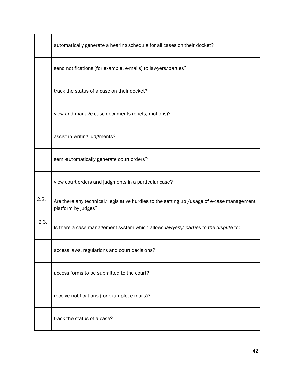|      | automatically generate a hearing schedule for all cases on their docket?                                          |
|------|-------------------------------------------------------------------------------------------------------------------|
|      | send notifications (for example, e-mails) to lawyers/parties?                                                     |
|      | track the status of a case on their docket?                                                                       |
|      | view and manage case documents (briefs, motions)?                                                                 |
|      | assist in writing judgments?                                                                                      |
|      | semi-automatically generate court orders?                                                                         |
|      | view court orders and judgments in a particular case?                                                             |
| 2.2. | Are there any technical/ legislative hurdles to the setting up /usage of e-case management<br>platform by judges? |
| 2.3. | Is there a case management system which allows lawyers/ parties to the dispute to:                                |
|      | access laws, regulations and court decisions?                                                                     |
|      | access forms to be submitted to the court?                                                                        |
|      | receive notifications (for example, e-mails)?                                                                     |
|      | track the status of a case?                                                                                       |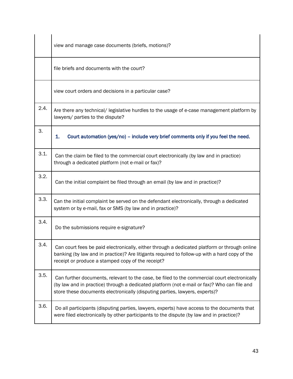|      | view and manage case documents (briefs, motions)?                                                                                                                                                                                                                          |
|------|----------------------------------------------------------------------------------------------------------------------------------------------------------------------------------------------------------------------------------------------------------------------------|
|      | file briefs and documents with the court?                                                                                                                                                                                                                                  |
|      | view court orders and decisions in a particular case?                                                                                                                                                                                                                      |
| 2.4. | Are there any technical/legislative hurdles to the usage of e-case management platform by<br>lawyers/ parties to the dispute?                                                                                                                                              |
| 3.   | 1.<br>Court automation (yes/no) - include very brief comments only if you feel the need.                                                                                                                                                                                   |
| 3.1. | Can the claim be filed to the commercial court electronically (by law and in practice)<br>through a dedicated platform (not e-mail or fax)?                                                                                                                                |
| 3.2. | Can the initial complaint be filed through an email (by law and in practice)?                                                                                                                                                                                              |
| 3.3. | Can the initial complaint be served on the defendant electronically, through a dedicated<br>system or by e-mail, fax or SMS (by law and in practice)?                                                                                                                      |
| 3.4. | Do the submissions require e-signature?                                                                                                                                                                                                                                    |
| 3.4. | Can court fees be paid electronically, either through a dedicated platform or through online<br>banking (by law and in practice)? Are litigants required to follow-up with a hard copy of the<br>receipt or produce a stamped copy of the receipt?                         |
| 3.5. | Can further documents, relevant to the case, be filed to the commercial court electronically<br>(by law and in practice) through a dedicated platform (not e-mail or fax)? Who can file and<br>store these documents electronically (disputing parties, lawyers, experts)? |
| 3.6. | Do all participants (disputing parties, lawyers, experts) have access to the documents that<br>were filed electronically by other participants to the dispute (by law and in practice)?                                                                                    |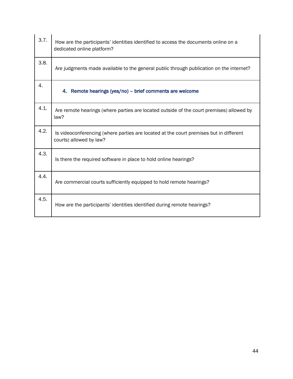| 3.7. | How are the participants' identities identified to access the documents online on a<br>dedicated online platform? |
|------|-------------------------------------------------------------------------------------------------------------------|
| 3.8. | Are judgments made available to the general public through publication on the internet?                           |
| 4.   | 4. Remote hearings (yes/no) – brief comments are welcome                                                          |
| 4.1. | Are remote hearings (where parties are located outside of the court premises) allowed by<br>law?                  |
| 4.2. | Is videoconferencing (where parties are located at the court premises but in different<br>courts) allowed by law? |
| 4.3. | Is there the required software in place to hold online hearings?                                                  |
| 4.4. | Are commercial courts sufficiently equipped to hold remote hearings?                                              |
| 4.5. | How are the participants' identities identified during remote hearings?                                           |